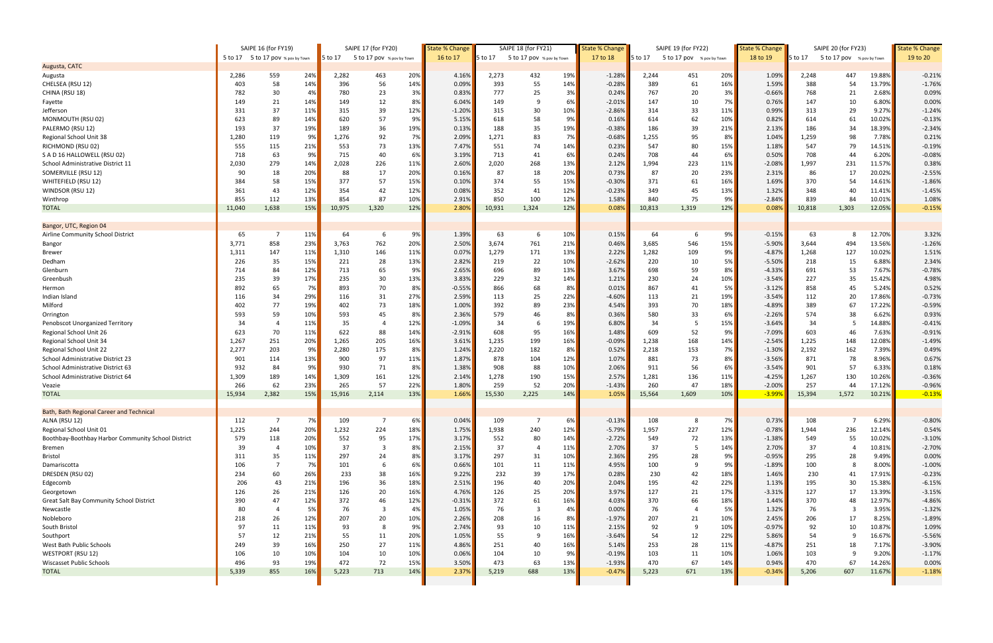|                                                    | SAIPE 16 (for FY19) |                                   |     | SAIPE 17 (for FY20) |                           |     | <b>State % Change</b> | SAIPE 18 (for FY21) |                           | <b>State % Change</b> |          | SAIPE 19 (for FY22) |                           | <b>State % Change</b> |          | SAIPE 20 (for FY23) | <b>State % Change</b>     |        |          |
|----------------------------------------------------|---------------------|-----------------------------------|-----|---------------------|---------------------------|-----|-----------------------|---------------------|---------------------------|-----------------------|----------|---------------------|---------------------------|-----------------------|----------|---------------------|---------------------------|--------|----------|
|                                                    |                     | 5 to 17 5 to 17 pov % pov by Town |     | 5 to 17             | 5 to 17 pov % pov by Town |     | 16 to 17              | 5 to 17             | 5 to 17 pov % pov by Town |                       | 17 to 18 | 5 to 17             | 5 to 17 pov % pov by Town |                       | 18 to 19 | 5 to 17             | 5 to 17 pov % pov by Town |        | 19 to 20 |
| Augusta, CATC                                      |                     |                                   |     |                     |                           |     |                       |                     |                           |                       |          |                     |                           |                       |          |                     |                           |        |          |
| Augusta                                            | 2,286               | 559                               | 24% | 2,282               | 463                       | 20% | 4.16%                 | 2,273               | 432                       | 19%                   | $-1.28%$ | 2,244               | 451                       | 20%                   | 1.09%    | 2,248               | 447                       | 19.88% | $-0.21%$ |
| CHELSEA (RSU 12)                                   | 403                 | 58                                | 14% | 396                 | 56                        | 14% | 0.09%                 | 393                 | 55                        | 14%                   | $-0.28%$ | 389                 | 61                        | 16%                   | 1.59%    | 388                 | 54                        | 13.79% | $-1.76%$ |
| CHINA (RSU 18)                                     | 782                 | 30                                | 4%  | 780                 | 23                        | 3%  | 0.83%                 | 777                 | 25                        | 3%                    | 0.24%    | 767                 | 20                        | 3%                    | $-0.66%$ | 768                 | 21                        | 2.68%  | 0.09%    |
| Fayette                                            | 149                 | 21                                | 14% | 149                 | 12                        | 8%  | 6.04%                 | 149                 | 9                         | 6%                    | $-2.01%$ | 147                 | 10                        | 7%                    | 0.76%    | 147                 | 10                        | 6.80%  | 0.00%    |
| Jefferson                                          | 331                 | 37                                | 11% | 315                 | 39                        | 12% | $-1.20%$              | 315                 | 30                        | 10%                   | $-2.86%$ | 314                 | 33                        | 11%                   | 0.99%    | 313                 | 29                        | 9.27%  | $-1.24%$ |
| MONMOUTH (RSU 02)                                  | 623                 | 89                                | 14% | 620                 | 57                        | 9%  | 5.15%                 | 618                 | 58                        | 9%                    | 0.16%    | 614                 | 62                        | 10%                   | 0.82%    | 614                 | 61                        | 10.02% | $-0.13%$ |
| PALERMO (RSU 12)                                   | 193                 | 37                                | 19% | 189                 | 36                        | 19% | 0.13%                 | 188                 | 35                        | 19%                   | $-0.38%$ | 186                 | 39                        | 21%                   | 2.13%    | 186                 | 34                        | 18.39% | $-2.34%$ |
| Regional School Unit 38                            | 1,280               | 119                               | 9%  | 1,276               | 92                        | 7%  | 2.09%                 | 1,271               | 83                        | 7%                    | $-0.68%$ | 1,255               | 95                        | 8%                    | 1.04%    | 1,259               | 98                        | 7.78%  | 0.21%    |
| RICHMOND (RSU 02)                                  | 555                 | 115                               | 21% | 553                 | 73                        | 13% | 7.47%                 | 551                 | 74                        | 14%                   | 0.23%    | 547                 | 80                        | 15%                   | 1.18%    | 547                 | 79                        | 14.51% | $-0.19%$ |
| S A D 16 HALLOWELL (RSU 02)                        | 718                 | 63                                | 9%  | 715                 | 40                        | 6%  | 3.19%                 | 713                 | 41                        | 6%                    | 0.24%    | 708                 | 44                        | 6%                    | 0.50%    | 708                 | 44                        | 6.20%  | $-0.08%$ |
| School Administrative District 11                  | 2,030               | 279                               | 14% | 2,028               | 226                       | 11% | 2.60%                 | 2,020               | 268                       | 13%                   | 2.12%    | 1,994               | 223                       | 11%                   | $-2.08%$ | 1,997               | 231                       | 11.57% | 0.38%    |
| SOMERVILLE (RSU 12)                                | 90                  | 18                                | 20% | 88                  | 17                        | 20% | 0.16%                 | 87                  | 18                        | 20%                   | 0.73%    | 87                  | 20                        | 23%                   | 2.31%    | 86                  | 17                        | 20.02% | $-2.55%$ |
| WHITEFIELD (RSU 12)                                | 384                 | 58                                | 15% | 377                 | 57                        | 15% | 0.10%                 | 374                 | 55                        | 15%                   | $-0.30%$ | 371                 | 61                        | 16%                   | 1.69%    | 370                 | 54                        | 14.61% | $-1.86%$ |
| WINDSOR (RSU 12)                                   | 361                 | 43                                | 12% | 354                 | 42                        | 12% | 0.08%                 | 352                 | 41                        | 12%                   | $-0.23%$ | 349                 | 45                        | 13%                   | 1.32%    | 348                 | 40                        | 11.41% | $-1.45%$ |
| Winthrop                                           | 855                 | 112                               | 13% | 854                 | 87                        | 10% | 2.91%                 | 850                 | 100                       | 12%                   | 1.58%    | 840                 | 75                        | 9%                    | $-2.84%$ | 839                 | 84                        | 10.01% | 1.08%    |
| <b>TOTAL</b>                                       | 11,040              | 1,638                             | 15% | 10,975              | 1,320                     | 12% | 2.80%                 | 10,931              | 1,324                     | 12%                   | 0.08%    | 10,813              | 1,319                     | 12%                   | 0.08%    | 10,818              | 1,303                     | 12.05% | $-0.15%$ |
|                                                    |                     |                                   |     |                     |                           |     |                       |                     |                           |                       |          |                     |                           |                       |          |                     |                           |        |          |
| Bangor, UTC, Region 04                             |                     |                                   |     |                     |                           |     |                       |                     |                           |                       |          |                     |                           |                       |          |                     |                           |        |          |
| Airline Community School District                  | 65                  | $\overline{7}$                    | 11% | 64                  | 6                         | 9%  | 1.39%                 | 63                  | 6                         | 10%                   | 0.15%    | 64                  |                           | 9%                    | $-0.15%$ | 63                  |                           | 12.70% | 3.32%    |
| Bangor                                             | 3,771               | 858                               | 23% | 3,763               | 762                       | 20% | 2.50%                 | 3,674               | 761                       | 21%                   | 0.46%    | 3,685               | 546                       | 15%                   | $-5.90%$ | 3,644               | 494                       | 13.56% | $-1.26%$ |
| <b>Brewer</b>                                      | 1,311               | 147                               | 11% | 1,310               | 146                       | 11% | 0.07%                 | 1,279               | 171                       | 13%                   | 2.22%    | 1,282               | 109                       | 9%                    | $-4.87%$ | 1,268               | 127                       | 10.02% | 1.51%    |
| Dedham                                             | 226                 | 35                                | 15% | 221                 | 28                        | 13% | 2.82%                 | 219                 | 22                        | 10%                   | $-2.62%$ | 220                 | 10                        | 5%                    | $-5.50%$ | 218                 | 15                        | 6.88%  | 2.34%    |
| Glenburn                                           | 714                 | 84                                | 12% | 713                 | 65                        | 9%  | 2.65%                 | 696                 | 89                        | 13%                   | 3.67%    | 698                 | 59                        | 8%                    | $-4.33%$ | 691                 | 53                        | 7.67%  | $-0.78%$ |
| Greenbush                                          | 235                 | 39                                | 17% | 235                 | 30                        | 13% | 3.83%                 | 229                 | 32                        | 14%                   | 1.21%    | 230                 | 24                        | 10%                   | $-3.54%$ | 227                 | 35                        | 15.42% | 4.98%    |
| Hermon                                             | 892                 | 65                                | 7%  | 893                 | 70                        | 8%  | $-0.55%$              | 866                 | 68                        | 8%                    | 0.01%    | 867                 | 41                        | 5%                    | $-3.12%$ | 858                 | 45                        | 5.24%  | 0.52%    |
| Indian Island                                      | 116                 | 34                                | 29% | 116                 | 31                        | 27% | 2.59%                 | 113                 | 25                        | 22%                   | $-4.60%$ | 113                 | 21                        | 19%                   | $-3.54%$ | 112                 | 20                        | 17.86% | $-0.73%$ |
| Milford                                            | 402                 | 77                                | 19% | 402                 | 73                        | 18% | 1.00%                 | 392                 | 89                        | 23%                   | 4.54%    | 393                 | 70                        | 18%                   | $-4.89%$ | 389                 | 67                        | 17.22% | $-0.59%$ |
| Orrington                                          | 593                 | 59                                | 10% | 593                 | 45                        | 8%  | 2.36%                 | 579                 | 46                        | 8%                    | 0.36%    | 580                 | 33                        | 6%                    | $-2.26%$ | 574                 | 38                        | 6.62%  | 0.93%    |
| Penobscot Unorganized Territory                    | 34                  | $\overline{4}$                    | 11% | 35                  | $\overline{4}$            | 12% | $-1.09%$              | 34                  | 6                         | 19%                   | 6.80%    | 34                  | -5                        | 15%                   | $-3.64%$ | 34                  | 5                         | 14.88% | $-0.41%$ |
| Regional School Unit 26                            | 623                 | 70                                | 11% | 622                 | 88                        | 14% | $-2.91%$              | 608                 | 95                        | 16%                   | 1.48%    | 609                 | 52                        | 9%                    | $-7.09%$ | 603                 | 46                        | 7.63%  | $-0.91%$ |
| Regional School Unit 34                            | 1,267               | 251                               | 20% | 1,265               | 205                       | 16% | 3.61%                 | 1,235               | 199                       | 16%                   | $-0.09%$ | 1,238               | 168                       | 14%                   | $-2.54%$ | 1,225               | 148                       | 12.08% | $-1.49%$ |
| Regional School Unit 22                            | 2,277               | 203                               | 9%  | 2,280               | 175                       | 8%  | 1.24%                 | 2,220               | 182                       | 8%                    | 0.52%    | 2,218               | 153                       | 7%                    | $-1.30%$ | 2,192               | 162                       | 7.39%  | 0.49%    |
| School Administrative District 23                  | 901                 | 114                               | 13% | 900                 | 97                        | 11% | 1.87%                 | 878                 | 104                       | 12%                   | 1.07%    | 881                 | 73                        | 8%                    | $-3.56%$ | 871                 | 78                        | 8.96%  | 0.67%    |
| School Administrative District 63                  | 932                 | 84                                | 9%  | 930                 | 71                        | 8%  | 1.38%                 | 908                 | 88                        | 10%                   | 2.06%    | 911                 | 56                        | 6%                    | $-3.54%$ | 901                 | 57                        | 6.33%  | 0.18%    |
| School Administrative District 64                  | 1,309               | 189                               | 14% | 1,309               | 161                       | 12% | 2.14%                 | 1,278               | 190                       | 15%                   | 2.57%    | 1,281               | 136                       | 11%                   | $-4.25%$ | 1,267               | 130                       | 10.26% | $-0.36%$ |
| Veazie                                             | 266                 | 62                                | 23% | 265                 | 57                        | 22% | 1.80%                 | 259                 | 52                        | 20%                   | $-1.43%$ | 260                 | 47                        | 18%                   | $-2.00%$ | 257                 | 44                        | 17.12% | $-0.96%$ |
| <b>TOTAL</b>                                       | 15,934              | 2,382                             | 15% | 15,916              | 2,114                     | 13% | 1.66%                 | 15,530              | 2,225                     | 14%                   | 1.05%    | 15,564              | 1,609                     | 10%                   | $-3.999$ | 15,394              | 1,572                     | 10.21% | $-0.13%$ |
| <b>Bath, Bath Regional Career and Technical</b>    |                     |                                   |     |                     |                           |     |                       |                     |                           |                       |          |                     |                           |                       |          |                     |                           |        |          |
| ALNA (RSU 12)                                      | 112                 | - 7                               | 7%  | 109                 | -7                        | 6%  | 0.04%                 | 109                 | 7                         | 6%                    | $-0.13%$ | 108                 | -8                        | 7%                    | 0.73%    | 108                 |                           | 6.29%  | $-0.80%$ |
| Regional School Unit 01                            | 1,225               | 244                               | 20% | 1,232               | 224                       | 18% | 1.75%                 | 1,938               | 240                       | 12%                   | $-5.79%$ | 1,957               | 227                       | 12%                   | $-0.78%$ | 1,944               | 236                       | 12.14% | 0.54%    |
| Boothbay-Boothbay Harbor Community School District | 579                 | 118                               | 20% | 552                 | 95                        | 17% | 3.17%                 | 552                 | 80                        | 14%                   | $-2.72%$ | 549                 | 72                        | 13%                   | $-1.38%$ | 549                 | 55                        | 10.02% | $-3.10%$ |
| Bremen                                             | 39                  | $\overline{4}$                    | 10% | 37                  | $\overline{\mathbf{3}}$   | 8%  | 2.15%                 | 37                  | $\overline{4}$            | 11%                   | 2.70%    | 37                  | 5                         | 14%                   | 2.70%    | 37                  |                           | 10.81% | $-2.70%$ |
| <b>Bristol</b>                                     | 311                 | 35                                | 11% | 297                 | 24                        | 8%  | 3.17%                 | 297                 | 31                        | 10%                   | 2.36%    | 295                 | 28                        | 9%                    | $-0.95%$ | 295                 | 28                        | 9.49%  | 0.00%    |
| Damariscotta                                       | 106                 |                                   | 7%  | 101                 | 6                         | 6%  | 0.66%                 | 101                 | 11                        | 11%                   | 4.95%    | 100                 | 9                         | 9%                    | $-1.89%$ | 100                 |                           | 8.00%  | $-1.00%$ |
| DRESDEN (RSU 02)                                   | 234                 | 60                                | 26% | 233                 | 38                        | 16% | 9.22%                 | 232                 | 39                        | 17%                   | 0.28%    | 230                 | 42                        | 18%                   | 1.46%    | 230                 | 41                        | 17.91% | $-0.23%$ |
| Edgecomb                                           | 206                 | 43                                | 21% | 196                 | 36                        | 18% | 2.51%                 | 196                 | 40                        | 20%                   | 2.04%    | 195                 | 42                        | 22%                   | 1.13%    | 195                 | 30                        | 15.38% | $-6.15%$ |
| Georgetown                                         | 126                 | 26                                | 21% | 126                 | 20                        | 16% | 4.76%                 | 126                 | 25                        | 20%                   | 3.97%    | 127                 | 21                        | 17%                   | $-3.31%$ | 127                 | 17                        | 13.39% | $-3.15%$ |
| <b>Great Salt Bay Community School District</b>    | 390                 | 47                                | 12% | 372                 | $46\,$                    | 12% | $-0.31%$              | 372                 | 61                        | 16%                   | 4.03%    | 370                 | 66                        | 18%                   | 1.44%    | 370                 | 48                        | 12.97% | $-4.86%$ |
| Newcastle                                          | 80                  | $\overline{4}$                    | 5%  | 76                  | $\overline{\mathbf{3}}$   | 4%  | 1.05%                 | 76                  | -3                        | 4%                    | 0.00%    | 76                  | -4                        | 5%                    | 1.32%    | 76                  | - 3                       | 3.95%  | $-1.32%$ |
| Nobleboro                                          | 218                 | 26                                | 12% | 207                 | $20\,$                    | 10% | 2.26%                 | 208                 | 16                        | 8%                    | $-1.97%$ | 207                 | 21                        | 10%                   | 2.45%    | 206                 | 17                        | 8.25%  | $-1.89%$ |
| South Bristol                                      | 97                  | 11                                | 11% | 93                  | 8                         | 9%  | 2.74%                 | 93                  | 10                        | 11%                   | 2.15%    | 92                  | 9                         | 10%                   | $-0.97%$ | 92                  | 10                        | 10.87% | 1.09%    |
| Southport                                          | 57                  | 12                                | 21% | 55                  | 11                        | 20% | 1.05%                 | 55                  | 9                         | 16%                   | $-3.64%$ | 54                  | 12                        | 22%                   | 5.86%    | 54                  | 9                         | 16.67% | $-5.56%$ |
| West Bath Public Schools                           | 249                 | 39                                | 16% | 250                 | 27                        | 11% | 4.86%                 | 251                 | 40                        | 16%                   | 5.14%    | 253                 | 28                        | 11%                   | $-4.87%$ | 251                 | 18                        | 7.17%  | $-3.90%$ |
| <b>WESTPORT (RSU 12)</b>                           | 106                 | 10                                | 10% | 104                 | 10                        | 10% | 0.06%                 | 104                 | 10                        | 9%                    | $-0.19%$ | 103                 | 11                        | 10%                   | 1.06%    | 103                 | 9                         | 9.20%  | $-1.17%$ |
| <b>Wiscasset Public Schools</b>                    | 496                 | 93                                | 19% | 472                 | 72                        | 15% | 3.50%                 | 473                 | 63                        | 13%                   | $-1.93%$ | 470                 | 67                        | 14%                   | 0.94%    | 470                 | 67                        | 14.26% | 0.00%    |
| <b>TOTAL</b>                                       | 5,339               | 855                               | 16% | 5,223               | 713                       | 14% | 2.37%                 | 5,219               | 688                       | 13%                   | $-0.47%$ | 5,223               | 671                       | 13%                   | $-0.34%$ | 5,206               | 607                       | 11.67% | $-1.18%$ |
|                                                    |                     |                                   |     |                     |                           |     |                       |                     |                           |                       |          |                     |                           |                       |          |                     |                           |        |          |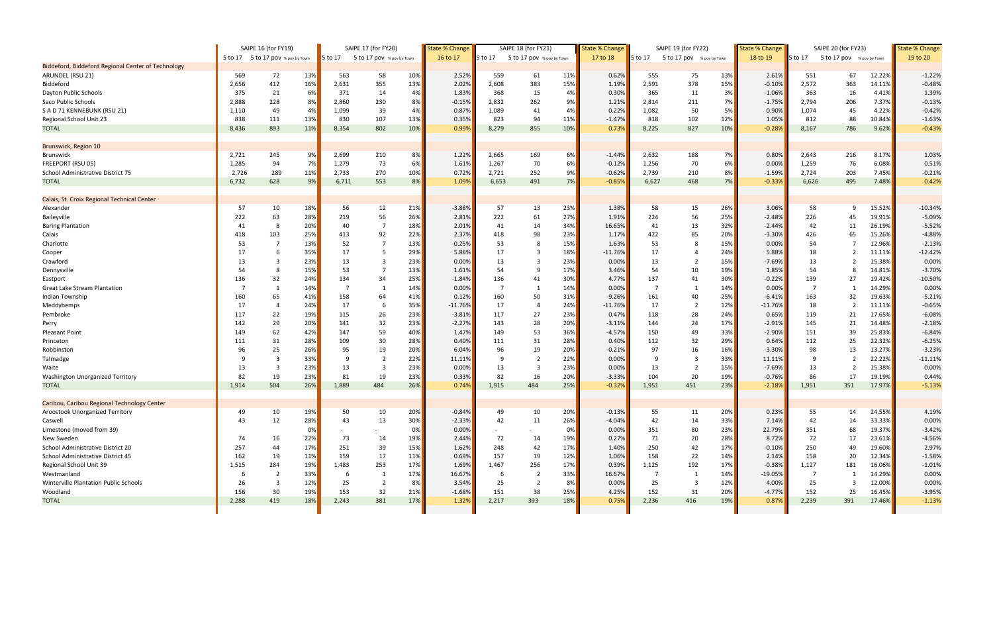|                                                    | SAIPE 16 (for FY19) |                                   |            | SAIPE 17 (for FY20) |                           |            | State % Change    | SAIPE 18 (for FY21) |                           |            | State % Change       |         | SAIPE 19 (for FY22)       |            | State % Change |                | SAIPE 20 (for FY23) |               | <b>State % Change</b> |
|----------------------------------------------------|---------------------|-----------------------------------|------------|---------------------|---------------------------|------------|-------------------|---------------------|---------------------------|------------|----------------------|---------|---------------------------|------------|----------------|----------------|---------------------|---------------|-----------------------|
|                                                    |                     | 5 to 17 5 to 17 pov % pov by Town |            | 5 to 17             | 5 to 17 pov % pov by Town |            | 16 to 17          | 5 to 17             | 5 to 17 pov % pov by Town |            | 17 to 18             | 5 to 17 | 5 to 17 pov % pov by Town |            | 18 to 19       | $5$ to 17      | 5 to 17 pov         | % pov by Town | 19 to 20              |
| Biddeford, Biddeford Regional Center of Technology |                     |                                   |            |                     |                           |            |                   |                     |                           |            |                      |         |                           |            |                |                |                     |               |                       |
| ARUNDEL (RSU 21)                                   | 569                 | 72                                | 13%        | 563                 | 58                        | 10%        | 2.52%             | 559                 | 61                        | 11%        | 0.62%                | 555     | 75                        | 13%        | 2.61%          | 551            | 67                  | 12.22%        | $-1.22%$              |
| Biddeford                                          | 2,656               | 412                               | 16%        | 2,631               | 355                       | 13%        | 2.02%             | 2,608               | 383                       | 15%        | 1.19%                | 2,591   | 378                       | 15%        | $-0.10%$       | 2,572          | 363                 | 14.11%        | $-0.48%$              |
| Dayton Public Schools                              | 375                 | 21                                | 6%         | 371                 | 14                        | 4%         | 1.83%             | 368                 | 15                        | 4%         | 0.30%                | 365     | 11                        | 3%         | $-1.06%$       | 363            | 16                  | 4.41%         | 1.39%                 |
| Saco Public Schools                                | 2,888               | 228                               | 8%         | 2,860               | 230                       | 8%         | $-0.15%$          | 2,832               | 262                       | 9%         | 1.21%                | 2,814   | 211                       | 7%         | $-1.75%$       | 2,794          | 206                 | 7.37%         | $-0.13%$              |
| S A D 71 KENNEBUNK (RSU 21)                        | 1,110               | 49                                | 4%         | 1,099               | 39                        | 4%         | 0.87%             | 1,089               | 41                        | 4%         | 0.22%                | 1,082   | 50                        | 5%         | 0.90%          | 1,074          | 45                  | 4.22%         | $-0.42%$              |
| Regional School Unit 23                            | 838                 | 111                               | 13%        | 830                 | 107                       | 13%        | 0.35%             | 823                 | 94                        | 11%        | $-1.47%$             | 818     | 102                       | 12%        | 1.05%          | 812            | 88                  | 10.84%        | $-1.63%$              |
| <b>TOTAL</b>                                       | 8,436               | 893                               | 11%        | 8,354               | 802                       | 10%        | 0.99%             | 8,279               | 855                       | 10%        | 0.73%                | 8,225   | 827                       | 10%        | $-0.28%$       | 8,167          | 786                 | 9.62%         | $-0.43%$              |
|                                                    |                     |                                   |            |                     |                           |            |                   |                     |                           |            |                      |         |                           |            |                |                |                     |               |                       |
| Brunswick, Region 10                               |                     |                                   |            |                     |                           |            |                   |                     |                           |            |                      |         |                           |            |                |                |                     |               |                       |
| <b>Brunswick</b>                                   | 2,721               | 245                               | 9%         | 2,699               | 210                       | 8%         | 1.22%             | 2,665               | 169                       | 6%         | $-1.44%$             | 2,632   | 188                       | 7%         | 0.80%          | 2,643          | 216                 | 8.17%         | 1.03%                 |
| FREEPORT (RSU 05)                                  | 1,285               | 94                                | 7%         | 1,279               | 73                        | 6%         | 1.61%             | 1,267               | 70                        | 6%         | $-0.12%$             | 1,256   | 70                        | 6%         | 0.00%          | 1,259          | 76                  | 6.08%         | 0.51%                 |
| School Administrative District 75                  | 2,726               | 289                               | 11%        | 2,733               | 270                       | 10%        | 0.72%             | 2,721               | 252                       | 9%         | $-0.62%$             | 2,739   | 210                       | 8%         | $-1.59%$       | 2,724          | 203                 | 7.45%         | $-0.21%$              |
| <b>TOTAL</b>                                       | 6,732               | 628                               | 9%         | 6,711               | 553                       | 8%         | 1.09%             | 6,653               | 491                       | 7%         | $-0.85%$             | 6,627   | 468                       | 7%         | $-0.33%$       | 6,626          | 495                 | 7.48%         | 0.42%                 |
|                                                    |                     |                                   |            |                     |                           |            |                   |                     |                           |            |                      |         |                           |            |                |                |                     |               |                       |
| Calais, St. Croix Regional Technical Center        |                     |                                   |            |                     |                           |            |                   |                     |                           |            |                      |         |                           |            |                |                |                     |               |                       |
| Alexander                                          | 57                  | 10                                | 18%        | 56                  | 12                        | 21%        | $-3.88%$          | 57                  | 13                        | 23%        | 1.38%                | 58      | 15                        | 26%        | 3.06%          | 58             | 9                   | 15.52%        | $-10.34%$             |
| Baileyville                                        | 222                 | 63                                | 28%        | 219                 | 56                        | 26%        | 2.81%             | 222                 | 61                        | 27%        | 1.91%                | 224     | 56                        | 25%        | $-2.48%$       | 226            | 45                  | 19.91%        | $-5.09%$              |
| <b>Baring Plantation</b>                           | 41                  | 8                                 | 20%        | 40                  | $\overline{7}$            | 18%        | 2.01%             | 41                  | 14                        | 34%        | 16.65%               | 41      | 13                        | 32%        | $-2.44%$       | 42             | 11                  | 26.19%        | $-5.52%$              |
| Calais                                             | 418                 | 103                               | 25%        | 413                 | 92                        | 22%        | 2.37%             | 418                 | 98                        | 23%        | 1.17%                | 422     | 85                        | 20%        | $-3.30%$       | 426            | 65                  | 15.26%        | $-4.88%$              |
| Charlotte                                          | 53                  |                                   | 13%        | 52                  | $\overline{7}$            | 13%        | $-0.25%$          | 53                  | 8                         | 15%        | 1.63%                | 53      | 8                         | 15%        | 0.00%          | 54             | -7                  | 12.96%        | $-2.13%$              |
| Cooper                                             | 17                  |                                   | 35%        | 17                  | 5                         | 29%        | 5.88%             | 17                  | 3                         | 18%        | $-11.76%$            | 17      | -4                        | 24%        | 5.88%          | 18             |                     | 11.11%        | $-12.42%$             |
| Crawford                                           | 13                  |                                   | 23%        | 13                  | 3                         | 23%        | 0.00%             | 13                  |                           | 23%        | 0.00%                | 13      | $\overline{2}$            | 15%        | $-7.69%$       | 13             |                     | 15.38%        | 0.00%                 |
| Dennysville                                        | 54                  | 8                                 | 15%        | 53                  | $\overline{7}$            | 13%        | 1.61%             | 54                  | 9                         | 17%        | 3.46%                | 54      | 10                        | 19%        | 1.85%          | 54             | 8                   | 14.81%        | $-3.70%$              |
| Eastport                                           | 136                 | 32                                | 24%        | 134                 | 34                        | 25%        | $-1.84%$          | 136                 | 41                        | 30%        | 4.77%                | 137     | 41                        | 30%        | $-0.22%$       | 139            | 27                  | 19.42%        | $-10.50%$             |
| <b>Great Lake Stream Plantation</b>                |                     | 1                                 | 14%        |                     | $\mathbf{1}$              | 14%        | 0.00%             | -7                  | - 1                       | 14%        | 0.00%                | -7      | 1                         | 14%        | 0.00%          | $\overline{7}$ |                     | 14.29%        | 0.00%                 |
| Indian Township                                    | 160                 | 65                                | 41%        | 158                 | 64                        | 41%        | 0.12%             | 160                 | 50                        | 31%        | $-9.26%$             | 161     | 40                        | 25%        | $-6.41%$       | 163            | 32                  | 19.63%        | $-5.21%$              |
|                                                    | 17                  | $\overline{4}$                    | 24%        | 17                  | 6                         | 35%        | $-11.76%$         | 17                  |                           | 24%        | $-11.76%$            | 17      | $\overline{2}$            | 12%        | $-11.76%$      | 18             | $\overline{2}$      | 11.11%        | $-0.65%$              |
| Meddybemps                                         | 117                 | 22                                | 19%        |                     | 26                        | 23%        |                   | 117                 | 27                        |            |                      |         | 28                        |            |                |                |                     | 17.65%        | $-6.08%$              |
| Pembroke                                           |                     | 29                                |            | 115                 |                           |            | $-3.81%$          |                     |                           | 23%        | 0.47%                | 118     |                           | 24%        | 0.65%          | 119            | 21                  | 14.48%        |                       |
| Perry                                              | 142                 | 62                                | 20%<br>42% | 141                 | 32                        | 23%        | $-2.27%$<br>1.47% | 143                 | 28                        | 20%        | $-3.11%$<br>$-4.57%$ | 144     | 24                        | 17%        | $-2.91%$       | 145            | 21                  | 25.83%        | $-2.18%$<br>$-6.84%$  |
| <b>Pleasant Point</b>                              | 149                 |                                   | 28%        | 147                 | 59                        | 40%<br>28% | 0.40%             | 149                 | 53                        | 36%<br>28% |                      | 150     | 49                        | 33%<br>29% | $-2.90%$       | 151            | 39                  | 22.32%        | $-6.25%$              |
| Princeton                                          | 111                 | 31                                |            | 109                 | 30                        |            |                   | 111                 | 31                        |            | 0.40%                | 112     | 32                        |            | 0.64%          | 112            | 25                  |               |                       |
| Robbinston                                         | 96                  | 25                                | 26%        | 95                  | 19                        | 20%        | 6.04%             | 96                  | 19                        | 20%        | $-0.21%$             | 97      | 16                        | 16%        | $-3.30%$       | 98             | 13                  | 13.27%        | $-3.23%$              |
| Talmadge                                           | -9                  | -3                                | 33%        | 9                   | $\overline{2}$            | 22%        | 11.11%            | 9                   | $\overline{2}$            | 22%        | 0.00%                | 9       | -3                        | 33%        | 11.11%         | 9              | $\overline{2}$      | 22.22%        | $-11.11%$             |
| Waite                                              | 13                  | -3                                | 23%        | 13                  | 3                         | 23%        | 0.00%             | 13                  | 3                         | 23%        | 0.00%                | 13      | $\overline{2}$            | 15%        | $-7.69%$       | 13             | -2                  | 15.38%        | 0.00%                 |
| Washington Unorganized Territory                   | 82                  | 19                                | 23%        | 81                  | 19                        | 23%        | 0.33%             | 82                  | 16                        | 20%        | $-3.33%$             | 104     | 20                        | 19%        | $-0.76%$       | 86             | 17                  | 19.19%        | 0.44%                 |
| <b>TOTAL</b>                                       | 1,914               | 504                               | 26%        | 1,889               | 484                       | 26%        | 0.74%             | 1,915               | 484                       | 25%        | $-0.32%$             | 1,951   | 451                       | 23%        | $-2.18%$       | 1,951          | 351                 | 17.97%        | $-5.13%$              |
|                                                    |                     |                                   |            |                     |                           |            |                   |                     |                           |            |                      |         |                           |            |                |                |                     |               |                       |
| Caribou, Caribou Regional Technology Center        |                     |                                   |            |                     |                           |            |                   |                     |                           |            |                      |         |                           |            |                |                |                     |               |                       |
| Aroostook Unorganized Territory                    | 49                  | 10                                | 19%        | 50                  | 10                        | 20%        | $-0.84%$          | 49                  | 10                        | 20%        | $-0.13%$             | 55      | 11                        | 20%        | 0.23%          | 55             | 14                  | 24.55%        | 4.19%                 |
| Caswell                                            | 43                  | 12                                | 28%        | 43                  | 13                        | 30%        | $-2.33%$          | 42                  | 11                        | 26%        | $-4.04%$             | 42      | 14                        | 33%        | 7.14%          | 42             | 14                  | 33.33%        | 0.00%                 |
| Limestone (moved from 39)                          |                     |                                   | 0%         |                     |                           | 0%         | 0.00%             |                     |                           | 0%         | 0.00%                | 351     | 80                        | 23%        | 22.79%         | 351            | 68                  | 19.37%        | $-3.42%$              |
| New Sweden                                         | 74                  | 16                                | 22%        | 73                  | 14                        | 19%        | 2.44%             | 72                  | 14                        | 19%        | 0.27%                | 71      | 20                        | 28%        | 8.72%          | 72             | 17                  | 23.61%        | $-4.56%$              |
| School Administrative District 20                  | 257                 | 44                                | 17%        | 251                 | 39                        | 15%        | 1.62%             | 248                 | 42                        | 17%        | 1.40%                | 250     | 42                        | 17%        | $-0.10%$       | 250            | 49                  | 19.60%        | 2.97%                 |
| School Administrative District 45                  | 162                 | 19                                | 11%        | 159                 | 17                        | <b>11%</b> | 0.69%             | 157                 | 19                        | 12%        | 1.06%                | 158     | 22                        | 14%        | 2.14%          | 158            | 20                  | 12.34%        | $-1.58%$              |
| Regional School Unit 39                            | 1,515               | 284                               | 19%        | 1,483               | 253                       | 17%        | 1.69%             | 1,467               | 256                       | 17%        | 0.39%                | 1,125   | 192                       | 17%        | $-0.38%$       | 1,127          | 181                 | 16.06%        | $-1.01%$              |
| Westmanland                                        | -6                  | -2                                | 33%        | -6                  | 1                         | 17%        | 16.67%            | 6                   |                           | 33%        | 16.67%               |         | 1                         | 14%        | -19.05%        | - 7            |                     | 14.29%        | 0.00%                 |
| Winterville Plantation Public Schools              | 26                  | -3                                | 12%        | 25                  | $\overline{2}$            | 8%         | 3.54%             | 25                  |                           | 8%         | 0.00%                | 25      | -3                        | 12%        | 4.00%          | 25             | 3                   | 12.00%        | 0.00%                 |
| Woodland                                           | 156                 | 30                                | 19%        | 153                 | 32                        | 21%        | $-1.68%$          | 151                 | 38                        | 25%        | 4.25%                | 152     | 31                        | 20%        | $-4.77%$       | 152            | 25                  | 16.45%        | $-3.95%$              |
| <b>TOTAL</b>                                       | 2,288               | 419                               | 18%        | 2,243               | 381                       | 17%        | 1.32%             | 2,217               | 393                       | 18%        | 0.75%                | 2,236   | 416                       | 19%        | 0.87%          | 2,239          | 391                 | 17.46%        | $-1.13%$              |
|                                                    |                     |                                   |            |                     |                           |            |                   |                     |                           |            |                      |         |                           |            |                |                |                     |               |                       |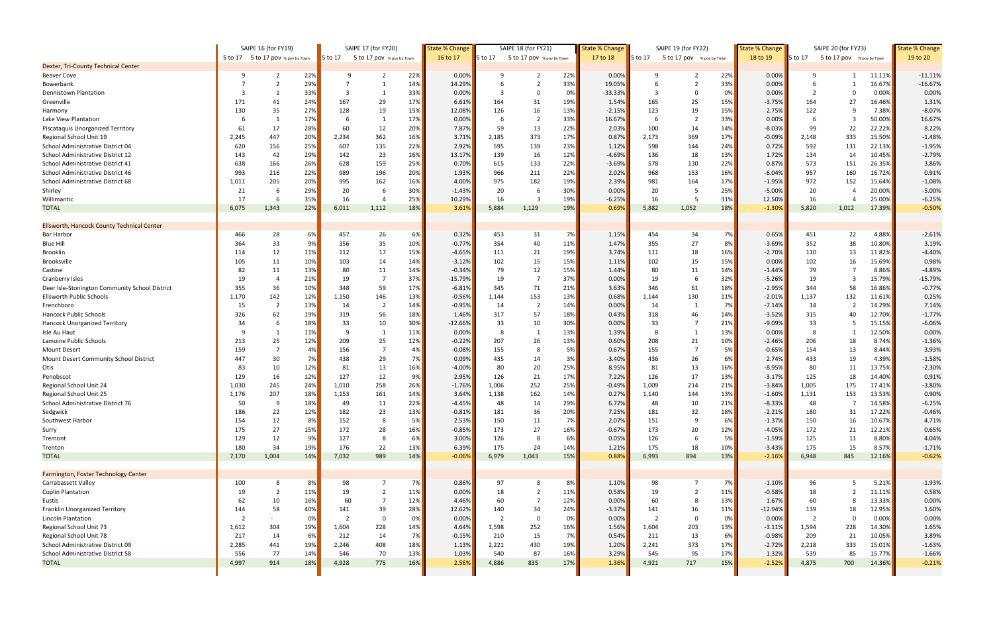|                                                      | SAIPE 16 (for FY19) |                                   | SAIPE 17 (for FY20) |          |                           | <b>State % Change</b> |                | SAIPE 18 (for FY21)   |                           | <b>State % Change</b><br>SAIPE 19 (for FY22) |                |                       |                           | <b>State % Change</b> | SAIPE 20 (for FY23)  |                |                           | <b>State % Change</b> |                   |
|------------------------------------------------------|---------------------|-----------------------------------|---------------------|----------|---------------------------|-----------------------|----------------|-----------------------|---------------------------|----------------------------------------------|----------------|-----------------------|---------------------------|-----------------------|----------------------|----------------|---------------------------|-----------------------|-------------------|
|                                                      |                     | 5 to 17 5 to 17 pov % pov by Town |                     | 5 to 17  | 5 to 17 pov % pov by Town |                       | 16 to 17       | 5 to 17               | 5 to 17 pov % pov by Town |                                              | 17 to 18       | 5 to 17               | 5 to 17 pov % pov by Town |                       | 18 to 19             | $5$ to 17      | 5 to 17 pov % pov by Town |                       | 19 to 20          |
| Dexter, Tri-County Technical Center                  |                     |                                   |                     |          |                           |                       |                |                       |                           |                                              |                |                       |                           |                       |                      |                |                           |                       |                   |
| <b>Beaver Cove</b>                                   | q                   | -2                                | 22%                 | -9       | 2                         | 22%                   | 0.00%          | 9                     | 2                         | 22%                                          | 0.00%          |                       |                           | 22%                   | 0.00%                | q              |                           | 11.11%                | $-11.11%$         |
| Bowerbank                                            |                     |                                   | 29%                 |          |                           | 14%                   | 14.29%         |                       |                           | 33%                                          | 19.05%         |                       |                           | 33%                   | 0.00%                | 6              |                           | 16.67%                | $-16.67%$         |
| Dennistown Plantation                                |                     |                                   | 33%                 |          | -1                        | 33%                   | 0.00%          | 3                     | -0                        | 0%                                           | $-33.33%$      | 3                     | $\Omega$                  | 0%                    | 0.00%                | $\overline{2}$ |                           | 0.00%                 | 0.00%             |
| Greenville                                           | 171                 | 41                                | 24%                 | 167      | 29                        | 17%                   | 6.61%          | 164                   | 31                        | 19%                                          | 1.54%          | 165                   | 25                        | 15%                   | $-3.75%$             | 164            | 27                        | 16.46%                | 1.31%             |
| Harmony                                              | 130                 | 35                                | 27%                 | 128      | 19                        | 15%                   | 12.08%         | 126                   | 16                        | 13%                                          | $-2.15%$       | 123                   | 19                        | 15%                   | 2.75%                | 122            | -9                        | 7.38%                 | $-8.07%$          |
| Lake View Plantation                                 |                     |                                   | 17%                 |          | -1                        | 17%                   | 0.00%          | 6                     | $\overline{2}$            | 33%                                          | 16.67%         |                       |                           | 33%                   | 0.00%                | -6             |                           | 50.00%                | 16.67%            |
| Piscataquis Unorganized Territory                    | 61                  | 17                                | 28%                 | 60       | 12                        | 20%                   | 7.87%          | 59                    | 13                        | 22%                                          | 2.03%          | 100                   | 14                        | 14%                   | $-8.03%$             | 99             | 22                        | 22.22%                | 8.22%             |
| Regional School Unit 19                              | 2,245               | 447                               | 20%                 | 2,234    | 362                       | 16%                   | 3.71%          | 2,185                 | 373                       | 17%                                          | 0.87%          | 2,173                 | 369                       | 17%                   | $-0.09\%$            | 2,148          | 333                       | 15.50%                | $-1.48%$          |
| School Administrative District 04                    | 620                 | 156                               | 25%                 | 607      | 135                       | 22%                   | 2.92%          | 595                   | 139                       | 23%                                          | 1.12%          | 598                   | 144                       | 24%                   | 0.72%                | 592            | 131                       | 22.13%                | $-1.95%$          |
| School Administrative District 12                    | 143                 | 42                                | 29%                 | 142      | 23                        | 16%                   | 13.17%         | 139                   | 16                        | 12%                                          | $-4.69%$       | 136                   | 18                        | 13%                   | 1.72%                | 134            | 14                        | 10.45%                | $-2.79%$          |
| School Administrative District 41                    | 638                 | 166                               | 26%                 | 628      | 159                       | 25%                   | 0.70%          | 615                   | 133                       | 22%                                          | $-3.69%$       | 578                   | 130                       | 22%                   | 0.87%                | 573            | 151                       | 26.35%                | 3.86%             |
| School Administrative District 46                    | 993                 | 216                               | 22%                 | 989      | 196                       | 20%                   | 1.93%          | 966                   | 211                       | 22%                                          | 2.02%          | 968                   | 153                       | 16%                   | $-6.04%$             | 957            | 160                       | 16.72%                | 0.91%             |
| School Administrative District 68                    | 1,011               | 205                               | 20%                 | 995      | 162                       | 16%                   | 4.00%          | 975                   | 182                       | 19%                                          | 2.39%          | 981                   | 164                       | 17%                   | $-1.95%$             | 972            | 152                       | 15.64%                | $-1.08%$          |
| Shirley                                              | 21                  | -6                                | 29%                 | 20       | 6                         | 30%                   | $-1.43%$       | 20                    |                           | 30%                                          | 0.00%          | 20                    |                           | 25%                   | $-5.00%$             | 20             |                           | 20.00%                | $-5.00%$          |
| Willimantic                                          | 17                  | -6                                | 35%                 | 16       | $\overline{4}$            | 25%                   | 10.29%         | 16                    | 3                         | 19%                                          | $-6.25%$       | 16                    |                           | 31%                   | 12.50%               | 16             |                           | 25.00%                | $-6.25%$          |
| <b>TOTAL</b>                                         | 6,075               | 1,343                             | 22%                 | 6,011    | 1,112                     | 18%                   | 3.61%          | 5,884                 | 1,129                     | 19%                                          | 0.69%          | 5,882                 | 1,052                     | 18%                   | $-1.30%$             | 5,820          | 1,012                     | 17.39%                | $-0.50%$          |
|                                                      |                     |                                   |                     |          |                           |                       |                |                       |                           |                                              |                |                       |                           |                       |                      |                |                           |                       |                   |
| <b>Ellsworth, Hancock County Technical Center</b>    |                     |                                   |                     |          |                           |                       |                |                       |                           |                                              |                |                       |                           |                       |                      |                |                           |                       |                   |
| <b>Bar Harbor</b>                                    | 466                 | 28                                | 6%                  | 457      | 26                        | 6%                    | 0.32%          | 453                   | 31                        | 7%                                           | 1.15%          | 454                   | 34                        | 7%                    | 0.65%                | 451            | 22                        | 4.88%                 | $-2.61%$          |
| <b>Blue Hill</b>                                     | 364                 | 33                                | 9%                  | 356      | 35                        | 10%                   | $-0.77%$       | 354                   | 40                        | 11%                                          | 1.47%          | 355                   | 27                        | 8%                    | $-3.69%$             | 352            | 38                        | 10.80%                | 3.19%             |
| Brooklin                                             | 114                 | 12                                | 11%                 | 112      | 17                        | 15%                   | $-4.65%$       | 111                   | 21                        | 19%                                          | 3.74%          | 111                   | 18                        | 16%                   | $-2.70%$             | 110            | 13                        | 11.82%                | $-4.40%$          |
| <b>Brooksville</b>                                   | 105                 | 11                                | 10%                 | 103      | 14                        | 14%                   | $-3.12%$       | 102                   | 15                        | 15%                                          | 1.11%          | 102                   | 15                        | 15%                   | 0.00%                | 102            | 16                        | 15.69%                | 0.98%             |
| Castine                                              | 82                  | 11                                | 13%                 | 80       | 11                        | 14%                   | $-0.34%$       | 79                    | 12                        | 15%                                          | 1.44%          | 80                    | 11                        | 14%                   | $-1.44%$             | 79             |                           | 8.86%                 | $-4.89%$          |
| Cranberry Isles                                      | 19                  | $\overline{a}$                    | 21%                 | 19       | $\overline{7}$            | 37%                   | $-15.79%$      | 19                    | 7                         | 37%                                          | 0.00%          | 19                    | 6                         | 32%                   | $-5.26%$             | 19             |                           | 15.79%                | $-15.79%$         |
| Deer Isle-Stonington Community School District       | 355                 | 36                                | 10%                 | 348      | 59                        | 17%                   | $-6.81%$       | 345                   | 71                        | 21%                                          | 3.63%          | 346                   | 61                        | 18%                   | $-2.95%$             | 344            | 58                        | 16.86%                | $-0.77%$          |
| <b>Ellsworth Public Schools</b>                      | 1,170               | 142                               | 12%                 | 1,150    | 146                       | 13%                   | $-0.56%$       | 1,144                 | 153                       | 13%                                          | 0.68%          | 1,144                 | 130                       | 11%                   | $-2.01%$             | 1,137          | 132                       | 11.61%                | 0.25%             |
| Frenchboro                                           | 15                  | $\overline{2}$                    | 13%                 | 14       | $\overline{2}$            | 14%                   | $-0.95%$       | 14                    | $\overline{2}$            | 14%                                          | 0.00%          | 14                    | -1                        | 7%                    | $-7.14%$             | 14             | $\overline{2}$            | 14.29%                | 7.14%             |
| Hancock Public Schools                               | 326                 | 62                                | 19%                 | 319      | 56                        | 18%                   | 1.46%          | 317                   | 57                        | 18%                                          | 0.43%          | 318                   | 46                        | 14%                   | $-3.52%$             | 315            | 40                        | 12.70%                | $-1.77%$          |
| Hancock Unorganized Territory                        | 34                  | 6                                 | 18%                 | 33       | 10                        | 30%                   | $-12.66%$      | 33                    | 10                        | 30%                                          | 0.00%          | 33                    | $\overline{7}$            | 21%                   | $-9.09%$             | 33             | 5                         | 15.15%                | $-6.06%$          |
| Isle Au Haut                                         | -9                  |                                   | 11%                 | q        | $\mathbf{1}$              | 11%                   | 0.00%          | 8                     | $\overline{1}$            | 13%                                          | 1.39%          | -8                    |                           | 13%                   | 0.00%                | - 8            |                           | 12.50%                | 0.00%             |
| Lamoine Public Schools                               | 213                 | 25                                | 12%                 | 209      | 25                        | 12%                   | $-0.22%$       | 207                   | 26                        | 13%                                          | 0.60%          | 208                   | 21                        | 10%                   | $-2.46%$             | 206            | 18                        | 8.74%                 | $-1.36%$          |
| <b>Mount Desert</b>                                  | 159                 |                                   | 4%                  | 156      | $\overline{7}$            | 4%                    | $-0.08%$       | 155                   | 8                         | 5%                                           | 0.67%          | 155                   | $\overline{7}$            | 5%                    | $-0.65%$             | 154            | 13                        | 8.44%                 | 3.93%             |
| Mount Desert Community School District               | 447                 | 30                                | 7%                  | 438      | 29                        | 7%                    | 0.09%          | 435                   | 14                        | 3%                                           | $-3.40%$       | 436                   | 26                        | 6%                    | 2.74%                | 433            | 19                        | 4.39%                 | $-1.58%$          |
| Otis                                                 | 83                  | 10                                | 12%                 | 81       | 13                        | 16%                   | $-4.00%$       | 80                    | 20                        | 25%                                          | 8.95%          | 81                    | 13                        | 16%                   | $-8.95%$             | 80             | 11                        | 13.75%                | $-2.30%$          |
| Penobscot                                            | 129                 | 16                                | 12%                 | 127      | 12                        | 9%                    | 2.95%          | 126                   | 21                        | 17%                                          | 7.22%          | 126                   | 17                        | 13%                   | $-3.17%$             | 125            | 18                        | 14.40%                | 0.91%             |
| Regional School Unit 24                              | 1,030               | 245                               | 24%                 | 1,010    | 258                       | 26%                   | $-1.76%$       | 1,006                 | 252                       | 25%                                          | $-0.49%$       | 1,009                 | 214                       | 21%                   | $-3.84%$             | 1,005          | 175                       | 17.41%                | $-3.80%$          |
| Regional School Unit 25                              | 1,176               | 207                               | 18%                 | 1,153    | 161                       | 14%                   | 3.64%          | 1,138                 | 162                       | 14%                                          | 0.27%          | 1,140                 | 144                       | 13%                   | $-1.60%$             | 1,131          | 153                       | 13.53%                | 0.90%             |
| School Administrative District 76                    | 50                  | $\mathbf{q}$                      | 18%                 | 49       | 11                        | 22%                   | $-4.45%$       | 48                    | 14                        | 29%                                          | 6.72%          | 48                    | 10                        | 21%                   | $-8.33%$             | 48             | $\overline{7}$            | 14.58%                | $-6.25%$          |
| Sedgwick                                             | 186                 | 22                                | 12%                 | 182      | 23                        | 13%                   | $-0.81%$       | 181                   | 36                        | 20%                                          | 7.25%          | 181                   | 32                        | 18%                   | $-2.21%$             | 180            | 31                        | 17.22%                | $-0.46%$          |
| Southwest Harbor                                     | 154                 | 12                                | 8%                  | 152      | 8                         | 5%                    | 2.53%          | 150                   | 11                        | 7%                                           | 2.07%          | 151                   | 9                         | 6%                    | $-1.37%$             | 150            | 16                        | 10.67%                | 4.71%             |
| Surry                                                | 175                 | 27                                | 15%                 | 172      | 28                        | 16%                   | $-0.85%$       | 173                   | 27                        | 16%                                          | $-0.67%$       | 173                   | 20                        | 12%                   | $-4.05%$             | 172            | 21                        | 12.21%                | 0.65%             |
| Tremont                                              | 129                 | 12                                | 9%                  | 127      | 8                         | 6%                    | 3.00%          | 126                   |                           | 6%                                           | 0.05%          | 126                   | 6                         | 5%                    | $-1.59%$             | 125            | 11                        | $8.80\%$              | 4.04%             |
| Trenton                                              | 180                 | 34                                | 19%                 | 176      | 22                        | 13%                   | 6.39%          | 175                   | 24                        | 14%                                          | 1.21%          | 175                   | 18                        | 10%                   | $-3.43%$             | 175            | 15                        | 8.57%                 | $-1.71%$          |
| <b>TOTAL</b>                                         | 7,170               | 1,004                             | 14%                 | 7,032    | 989                       | <b>14%</b>            | $-0.06%$       | 6,979                 | 1,043                     | 15%                                          | 0.88%          | 6,993                 | 894                       | 13%                   | $-2.16%$             | 6,948          | 845                       | 12.16%                | $-0.62%$          |
| Farmington, Foster Technology Center                 |                     |                                   |                     |          |                           |                       |                |                       |                           |                                              |                |                       |                           |                       |                      |                |                           |                       |                   |
|                                                      |                     |                                   |                     |          | - 7                       |                       |                | 97                    | 8                         |                                              |                |                       | $\overline{7}$            |                       |                      |                | -5                        |                       |                   |
| Carrabassett Valley<br><b>Coplin Plantation</b>      | 100<br>19           | 8<br>$\overline{2}$               | 8%<br>11%           | 98<br>19 | $\overline{2}$            | 7%<br>11%             | 0.86%<br>0.00% | 18                    |                           | 8%<br>11%                                    | 1.10%<br>0.58% | 98<br>19              | $\overline{2}$            | 7%<br>11%             | $-1.10%$<br>$-0.58%$ | 96<br>18       | $\overline{2}$            | 5.21%<br>11.11%       | $-1.93%$<br>0.58% |
|                                                      | 62                  | 10                                | 16%                 | 60       | $\overline{7}$            | 12%                   | 4.46%          | 60                    |                           | 12%                                          | 0.00%          | 60                    | 8                         | 13%                   | 1.67%                | 60             |                           | 13.33%                | 0.00%             |
| Eustis                                               | 144                 | 58                                | 40%                 |          | 39                        | 28%                   | 12.62%         |                       | 34                        | 24%                                          | $-3.37%$       |                       |                           | 11%                   | $-12.94%$            | 139            |                           | 12.95%                | 1.60%             |
| Franklin Unorganized Territory<br>Lincoln Plantation | $\overline{2}$      |                                   | 0%                  | 141      | 0                         | 0%                    | 0.00%          | 140<br>$\overline{2}$ | $\Omega$                  | 0%                                           | 0.00%          | 141<br>$\overline{2}$ | 16<br>$\mathbf 0$         | 0%                    | 0.00%                | $\overline{2}$ | 18<br>$\Omega$            | $0.00\%$              | 0.00%             |
| Regional School Unit 73                              | 1,612               | 304                               | 19%                 | 1,604    | 228                       | <b>14%</b>            | 4.64%          | 1,598                 | 252                       | 16%                                          |                | 1,604                 | 203                       | 13%                   | $-3.11\%$            | 1,594          | 228                       | 14.30%                | 1.65%             |
| Regional School Unit 78                              | 217                 | 14                                | 6%                  | 212      | 14                        | 7%                    | $-0.15%$       | 210                   | 15                        | 7%                                           | 1.56%<br>0.54% | 211                   | 13                        | 6%                    | $-0.98%$             | 209            | 21                        | 10.05%                | 3.89%             |
| School Administrative District 09                    | 2,285               | 441                               | 19%                 | 2,246    | 408                       | 18%                   | 1.13%          | 2,221                 | 430                       | 19%                                          | 1.20%          | 2,241                 | 373                       | 17%                   | $-2.72%$             | 2,218          | 333                       | 15.01%                | $-1.63%$          |
| School Administrative District 58                    | 556                 | 77                                | 14%                 | 546      | 70                        | 13%                   | 1.03%          | 540                   | 87                        | 16%                                          | 3.29%          | 545                   | 95                        | 17%                   | 1.32%                | 539            | 85                        | 15.77%                | $-1.66%$          |
| <b>TOTAL</b>                                         | 4,997               | 914                               | 18%                 | 4,928    | 775                       | 16%                   | 2.56%          | 4,886                 | 835                       | 17%                                          | 1.36%          | 4,921                 | 717                       | 15%                   | $-2.52%$             | 4,875          | 700                       | 14.36%                | $-0.21%$          |
|                                                      |                     |                                   |                     |          |                           |                       |                |                       |                           |                                              |                |                       |                           |                       |                      |                |                           |                       |                   |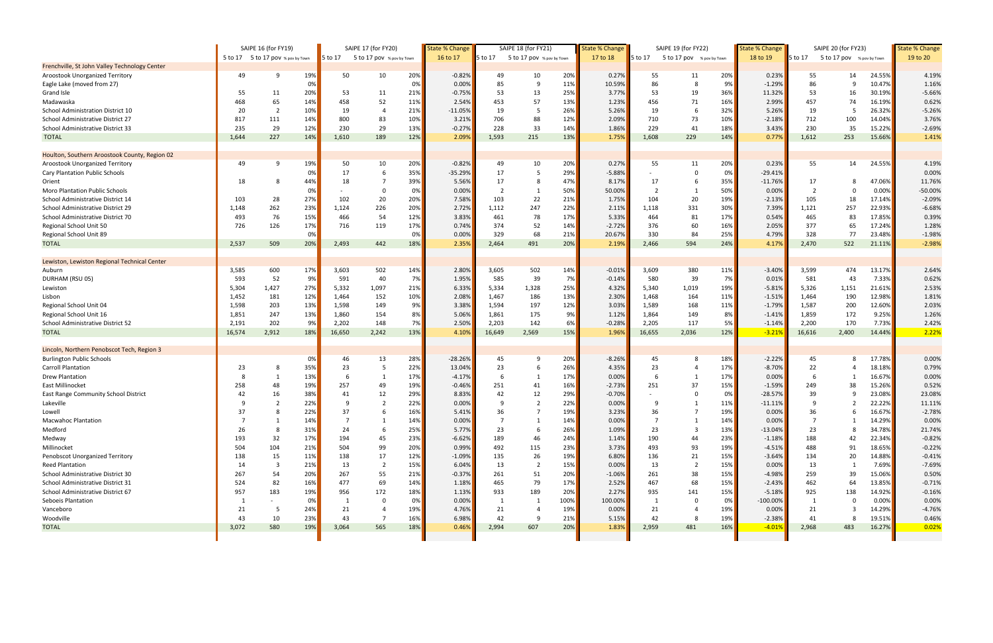|                                               | SAIPE 16 (for FY19) |                                   | SAIPE 17 (for FY20) |         |                           | <b>State % Change</b> |           | SAIPE 18 (for FY21) |                           | <b>State % Change</b> |          | SAIPE 19 (for FY22)  |                           | <b>State % Change</b> |                     | SAIPE 20 (for FY23) |                           | <b>State % Change</b> |           |
|-----------------------------------------------|---------------------|-----------------------------------|---------------------|---------|---------------------------|-----------------------|-----------|---------------------|---------------------------|-----------------------|----------|----------------------|---------------------------|-----------------------|---------------------|---------------------|---------------------------|-----------------------|-----------|
|                                               |                     | 5 to 17 5 to 17 pov % pov by Town |                     | 5 to 17 | 5 to 17 pov % pov by Town |                       | 16 to 17  | 5 to 17             | 5 to 17 pov % pov by Town |                       | 17 to 18 | 5 to 17              | 5 to 17 pov % pov by Town |                       | 18 to 19            | 5 to 17             | 5 to 17 pov % pov by Town |                       | 19 to 20  |
| Frenchville, St John Valley Technology Center |                     |                                   |                     |         |                           |                       |           |                     |                           |                       |          |                      |                           |                       |                     |                     |                           |                       |           |
| Aroostook Unorganized Territory               | 49                  | q                                 | 19%                 | 50      | 10                        | 20%                   | $-0.82%$  | 49                  | 10                        | 20%                   | 0.27%    | 55                   | 11                        | 20%                   | 0.23%               | 55                  | 14                        | 24.55%                | 4.19%     |
| Eagle Lake (moved from 27)                    |                     |                                   | 0%                  |         |                           | 0%                    | 0.00%     | 85                  | 9                         | 11%                   | 10.59%   | 86                   | 8                         | 9%                    | $-1.29%$            | 86                  | 9                         | 10.47%                | 1.16%     |
| Grand Isle                                    | 55                  | 11                                | 20%                 | 53      | 11                        | 21%                   | $-0.75%$  | 53                  | 13                        | 25%                   | 3.77%    | 53                   | 19                        | 36%                   | 11.32%              | 53                  | 16                        | 30.19%                | $-5.66%$  |
| Madawaska                                     | 468                 | 65                                | 14%                 | 458     | 52                        | 11%                   | 2.54%     | 453                 | 57                        | 13%                   | 1.23%    | 456                  | 71                        | 16%                   | 2.99%               | 457                 | 74                        | 16.19%                | 0.62%     |
| School Administration District 10             | 20                  | $\overline{2}$                    | 10%                 | 19      | $\overline{4}$            | 21%                   | $-11.05%$ | 19                  | -5                        | 26%                   | 5.26%    | 19                   | 6                         | 32%                   | 5.26%               | 19                  | 5                         | 26.32%                | $-5.26%$  |
| School Administrative District 27             | 817                 | 111                               | 14%                 | 800     | 83                        | 10%                   | 3.21%     | 706                 | 88                        | 12%                   | 2.09%    | 710                  | 73                        | 10%                   | $-2.18%$            | 712                 | 100                       | 14.04%                | 3.76%     |
| School Administrative District 33             | 235                 | 29                                | 12%                 | 230     | 29                        | 13%                   | $-0.27%$  | 228                 | 33                        | 14%                   | 1.86%    | 229                  | 41                        | 18%                   | 3.43%               | 230                 | 35                        | 15.22%                | $-2.69%$  |
| <b>TOTAL</b>                                  | 1,644               | 227                               | 14%                 | 1,610   | 189                       | 12%                   | 2.09%     | 1,593               | 215                       | 13%                   | 1.75%    | 1,608                | 229                       | 14%                   | 0.77%               | 1,612               | 253                       | 15.66%                | 1.41%     |
|                                               |                     |                                   |                     |         |                           |                       |           |                     |                           |                       |          |                      |                           |                       |                     |                     |                           |                       |           |
| Houlton, Southern Aroostook County, Region 02 |                     | - 9                               |                     |         |                           |                       |           |                     |                           |                       |          |                      |                           |                       |                     |                     |                           |                       |           |
| Aroostook Unorganized Territory               | 49                  |                                   | 19%                 | 50      | 10<br>6                   | 20%                   | $-0.82%$  | 49<br>17            | 10                        | 20%                   | 0.27%    | 55                   | 11                        | 20%                   | 0.23%               | 55                  | 14                        | 24.55%                | 4.19%     |
| <b>Cary Plantation Public Schools</b>         |                     |                                   | 0%                  | 17      | $\overline{7}$            | 35%                   | $-35.29%$ | 17                  | 5                         | 29%                   | $-5.88%$ |                      | 6                         | 0%                    | $-29.41%$           |                     |                           |                       | 0.00%     |
| Orient                                        | 18                  |                                   | 44%                 | 18      |                           | 39%                   | 5.56%     |                     |                           | 47%                   | 8.17%    | 17<br>$\overline{2}$ |                           | 35%                   | $-11.76%$           | 17                  | 8                         | 47.06%                | 11.76%    |
| <b>Moro Plantation Public Schools</b>         |                     |                                   | 0%                  |         | $\Omega$                  | 0%                    | 0.00%     | $\overline{2}$      |                           | 50%                   | 50.00%   |                      |                           | 50%                   | 0.00%               | $\overline{2}$      | 0                         | $0.00\%$              | $-50.00%$ |
| School Administrative District 14             | 103                 | 28                                | 27%                 | 102     | 20                        | 20%                   | 7.58%     | 103                 | 22                        | 21%                   | 1.75%    | 104                  | 20                        | 19%                   | $-2.13%$            | 105                 | 18                        | 17.14%                | $-2.09%$  |
| School Administrative District 29             | 1,148               | 262                               | 23%                 | 1,124   | 226                       | 20%                   | 2.72%     | 1,112               | 247                       | 22%                   | 2.11%    | 1,118                | 331                       | 30%                   | 7.39%               | 1,121               | 257                       | 22.93%                | $-6.68%$  |
| School Administrative District 70             | 493                 | 76                                | 15%                 | 466     | 54                        | 12%                   | 3.83%     | 461                 | 78                        | 17%                   | 5.33%    | 464                  | 81                        | 17%                   | 0.54%               | 465                 | 83                        | 17.85%                | 0.39%     |
| Regional School Unit 50                       | 726                 | 126                               | 17%                 | 716     | 119                       | 17%                   | 0.74%     | 374                 | 52                        | 14%                   | $-2.72%$ | 376                  | 60                        | 16%                   | 2.05%               | 377                 | 65                        | 17.24%                | 1.28%     |
| Regional School Unit 89                       |                     |                                   | 0%                  |         |                           | 0%                    | 0.00%     | 329                 | 68                        | 21%                   | 20.67%   | 330                  | 84                        | 25%                   | 4.79%               | 328                 | 77                        | 23.48%                | $-1.98%$  |
| <b>TOTAL</b>                                  | 2,537               | 509                               | 20%                 | 2,493   | 442                       | 18%                   | 2.35%     | 2,464               | 491                       | 20%                   | 2.19%    | 2,466                | 594                       | 24%                   | 4.17%               | 2,470               | 522                       | 21.11%                | $-2.98%$  |
| Lewiston, Lewiston Regional Technical Center  |                     |                                   |                     |         |                           |                       |           |                     |                           |                       |          |                      |                           |                       |                     |                     |                           |                       |           |
| Auburn                                        | 3,585               | 600                               | 17%                 | 3,603   | 502                       | 14%                   | 2.80%     | 3,605               | 502                       | 14%                   | $-0.01%$ | 3,609                | 380                       | 11%                   | $-3.40%$            | 3,599               | 474                       | 13.17%                | 2.64%     |
| DURHAM (RSU 05)                               | 593                 | 52                                | 9%                  | 591     | 40                        | 7%                    | 1.95%     | 585                 | 39                        | 7%                    | $-0.14%$ | 580                  | 39                        | 7%                    | 0.01%               | 581                 | 43                        | 7.33%                 | 0.62%     |
| Lewiston                                      | 5,304               | 1,427                             | 27%                 | 5,332   | 1,097                     | 21%                   | 6.33%     | 5,334               | 1,328                     | 25%                   | 4.32%    | 5,340                | 1,019                     | 19%                   | $-5.81%$            | 5,326               | 1,151                     | 21.61%                | 2.53%     |
| Lisbon                                        | 1,452               | 181                               | 12%                 | 1,464   | 152                       | 10%                   | 2.08%     | 1,467               | 186                       | 13%                   | 2.30%    | 1,468                | 164                       | 11%                   | $-1.51%$            | 1,464               | 190                       | 12.98%                | 1.81%     |
| Regional School Unit 04                       | 1,598               | 203                               | 13%                 | 1,598   | 149                       | 9%                    | 3.38%     | 1,594               | 197                       | 12%                   | 3.03%    | 1,589                | 168                       | 11%                   | $-1.79%$            | 1,587               | 200                       | 12.60%                | 2.03%     |
| Regional School Unit 16                       | 1,851               | 247                               | 13%                 | 1,860   | 154                       | 8%                    | 5.06%     | 1,861               | 175                       | 9%                    | 1.12%    | 1,864                | 149                       | 8%                    | $-1.41%$            | 1,859               | 172                       | 9.25%                 | 1.26%     |
| School Administrative District 52             | 2,191               | 202                               | 9%                  | 2,202   | 148                       | 7%                    | 2.50%     | 2,203               | 142                       | 6%                    | $-0.28%$ | 2,205                | 117                       | 5%                    | $-1.14%$            | 2,200               | 170                       | 7.73%                 | 2.42%     |
| <b>TOTAL</b>                                  | 16,574              | 2,912                             | 18%                 | 16,650  | 2,242                     | 13%                   | 4.10%     | 16,649              | 2,569                     | 15%                   | 1.96%    | 16,655               | 2,036                     | 12%                   | $-3.219$            | 16,616              | 2,400                     | 14.44%                | 2.22%     |
|                                               |                     |                                   |                     |         |                           |                       |           |                     |                           |                       |          |                      |                           |                       |                     |                     |                           |                       |           |
| Lincoln, Northern Penobscot Tech, Region 3    |                     |                                   |                     |         |                           |                       |           |                     |                           |                       |          |                      |                           |                       |                     |                     |                           |                       |           |
| <b>Burlington Public Schools</b>              |                     |                                   | 0%                  | 46      | 13                        | 28%                   | $-28.26%$ | 45                  | 9                         | 20%                   | $-8.26%$ | 45                   | 8                         | 18%                   | $-2.22%$            | 45                  | 8                         | 17.78%                | 0.00%     |
| <b>Carroll Plantation</b>                     | 23                  |                                   | 35%                 | 23      | -5                        | 22%                   | 13.04%    | 23                  | 6                         | 26%                   | 4.35%    | 23                   |                           | 17%                   | $-8.70%$            | 22                  |                           | 18.18%                | 0.79%     |
| <b>Drew Plantation</b>                        |                     |                                   | 13%                 |         | -1                        | 17%                   | $-4.17%$  | 6                   | -1                        | 17%                   | 0.00%    |                      |                           | 17%                   | 0.00%               | 6                   |                           | 16.67%                | 0.00%     |
| East Millinocket                              | 258                 | 48                                | 19%                 | 257     | 49                        | 19%                   | $-0.46%$  | 251                 | 41                        | 16%                   | $-2.73%$ | 251                  | 37                        | 15%                   | $-1.59%$            | 249                 | 38                        | 15.26%                | 0.52%     |
| East Range Community School District          | 42                  | 16                                | 38%                 | 41      | 12                        | 29%                   | 8.83%     | 42                  | 12                        | 29%                   | $-0.70%$ |                      | $\Omega$                  | 0%                    | $-28.57%$           | 39                  | 9                         | 23.08%                | 23.08%    |
| Lakeville                                     |                     |                                   | 22%                 |         | $\overline{\phantom{a}}$  | 22%                   | 0.00%     | q                   | $\mathcal{D}$             | 22%                   | 0.00%    | ۵                    |                           | 11%                   | $-11.11%$           | q                   |                           | 22.22%                | 11.11%    |
| Lowell                                        | 37                  |                                   | 22%                 | 37      | 6                         | 16%                   | 5.41%     | 36                  | -7                        | 19%                   | 3.23%    | 36                   |                           | 19%                   | 0.00%               | 36                  | 6                         | 16.67%                | $-2.78%$  |
| <b>Macwahoc Plantation</b>                    | 7                   |                                   | 14%                 |         |                           | 14%                   | 0.00%     | $\overline{7}$      | 1                         | 14%                   | 0.00%    | $\overline{7}$       |                           | 14%                   | 0.00%               | $\overline{7}$      |                           | 14.29%                | 0.00%     |
| Medford                                       | 26                  | - 8                               | 31%                 | 24      | 6                         | 25%                   | 5.77%     | 23                  |                           | 26%                   | 1.09%    | 23                   | -3                        | 13%                   | $-13.04%$           | 23                  | 8                         | 34.78%                | 21.74%    |
| Medway                                        | 193                 | 32                                | 17%                 | 194     | 45                        | 23%                   | $-6.62%$  | 189                 | 46                        | 24%                   | 1.14%    | 190                  | 44                        | 23%                   | $-1.18%$            | 188                 | 42                        | 22.34%                | $-0.82%$  |
| Millinocket                                   | 504                 | 104                               | 21%                 | 504     | 99                        | 20%                   | 0.99%     | 492                 | 115                       | 23%                   | 3.73%    | 493                  | 93                        | 19%                   | -4.51%              | 488                 | 91                        | 18.65%                | $-0.22%$  |
| Penobscot Unorganized Territory               | 138                 | 15                                | 11%                 | 138     | 17                        | 12%                   | $-1.09%$  | 135                 | 26                        | 19%                   | 6.80%    | 136                  | 21                        | 15%                   | $-3.64%$            | 134                 | 20                        | 14.88%                | $-0.41%$  |
| Reed Plantation                               | 14                  | - 3                               | 21%                 | 13      | $\overline{2}$            | 15%                   | 6.04%     | 13                  | $\overline{2}$            | 15%                   | 0.00%    | 13                   | $\overline{2}$            | 15%                   | 0.00%               | 13                  | -1                        | 7.69%                 | $-7.69%$  |
| School Administrative District 30             | 267                 | 54                                | 20%                 | 267     | 55                        | 21%                   | $-0.37%$  | 261                 | 51                        | 20%                   | $-1.06%$ | 261                  | 38                        | 15%                   | $-4.98%$            | 259                 | 39                        | 15.06%                | 0.50%     |
| School Administrative District 31             | 524                 | 82                                | 16%                 | 477     | 69                        | 14%                   | 1.18%     | 465                 | 79                        | 17%                   | 2.52%    | 467                  | 68                        | 15%                   | $-2.43%$            | 462                 | 64                        | 13.85%                | $-0.71%$  |
| School Administrative District 67             | 957                 | 183                               | 19%                 | 956     | 172                       | 18%                   | 1.13%     | 933                 | 189                       | 20%                   | 2.27%    | 935                  | 141                       | 15%                   | $-5.18%$            | 925                 | 138                       | 14.92%                | $-0.16%$  |
| Seboeis Plantation                            | - 1                 |                                   | 0%                  |         | 0                         | 0%                    | 0.00%     | - 1                 | - 1                       | 100%                  | 100.00%  | -1                   | 0                         | 0%                    | $-100.00\%$         | 1                   | 0                         | 0.00%                 | 0.00%     |
| Vanceboro                                     | 21                  | - 5                               | 24%                 | 21      | 4                         | 19%                   | 4.76%     | 21                  |                           | 19%                   | $0.00\%$ | 21                   | -4                        | 19%                   | $0.00\%$            | 21                  | 3                         | 14.29%                | $-4.76%$  |
| Woodville                                     | 43                  | 10                                | 23%                 | 43      | 7                         | 16%                   | 6.98%     | 42                  | 9                         | 21%                   | 5.15%    | 42                   | 8                         | 19%                   | $-2.38%$            | 41                  | 8                         | 19.51%                | 0.46%     |
| <b>TOTAL</b>                                  | 3,072               | 580                               | 19%                 | 3,064   | 565                       | 18%                   | 0.46%     | 2,994               | 607                       | 20%                   | 1.83%    | 2,959                | 481                       | 16%                   | <mark>-4.01%</mark> | 2,968               | 483                       | 16.27%                | 0.02%     |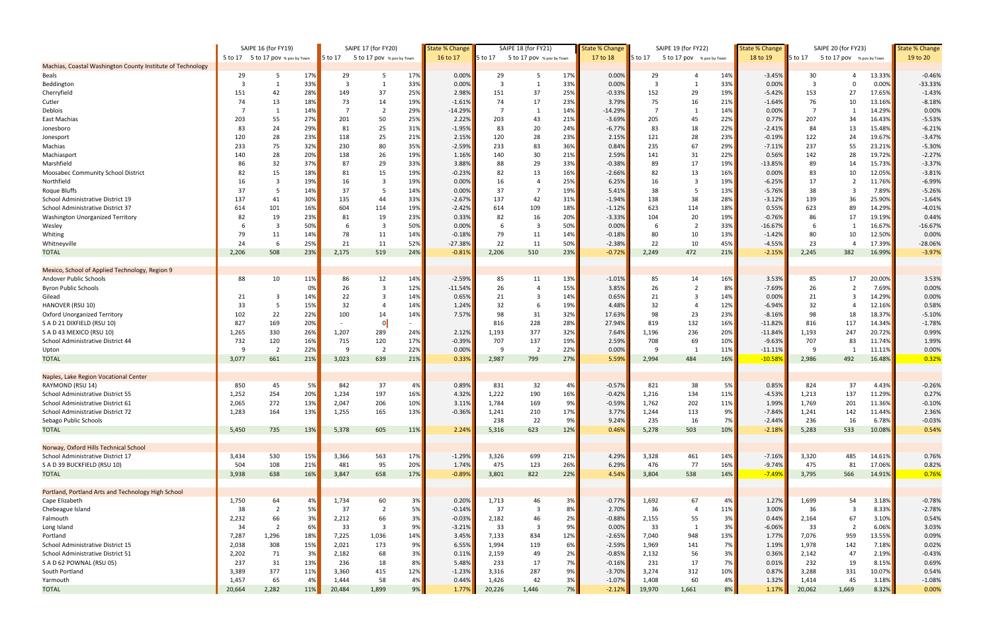|                                                            |        | SAIPE 16 (for FY19)               |     |         | SAIPE 17 (for FY20)       |            | State % Change |                | SAIPE 18 (for FY21)       |     | <b>State % Change</b> |         | SAIPE 19 (for FY22)       |            | <b>State % Change</b> |                | SAIPE 20 (for FY23)       |        | <b>State % Change</b> |
|------------------------------------------------------------|--------|-----------------------------------|-----|---------|---------------------------|------------|----------------|----------------|---------------------------|-----|-----------------------|---------|---------------------------|------------|-----------------------|----------------|---------------------------|--------|-----------------------|
|                                                            |        | 5 to 17 5 to 17 pov % pov by Town |     | 5 to 17 | 5 to 17 pov % pov by Town |            | 16 to 17       | 5 to 17        | 5 to 17 pov % pov by Town |     | 17 to 18              | 5 to 17 | 5 to 17 pov % pov by Town |            | 18 to 19              | 5 to 17        | 5 to 17 pov % pov by Town |        | 19 to 20              |
| Machias, Coastal Washington County Institute of Technology |        |                                   |     |         |                           |            |                |                |                           |     |                       |         |                           |            |                       |                |                           |        |                       |
| Beals                                                      | 29     | - 5                               | 17% | 29      | -5                        | 17%        | 0.00%          | 29             | -5                        | 17% | 0.00%                 | 29      |                           | 14%        | $-3.45%$              | 30             |                           | 13.33% | $-0.46%$              |
| Beddington                                                 | -3     |                                   | 33% | -3      |                           | 33%        | 0.00%          | 3              | - 1                       | 33% | 0.00%                 | 3       |                           | 33%        | 0.00%                 | $\overline{3}$ |                           | 0.00%  | $-33.33%$             |
| Cherryfield                                                | 151    | 42                                | 28% | 149     | 37                        | 25%        | 2.98%          | 151            | 37                        | 25% | $-0.33%$              | 152     | 29                        | 19%        | $-5.42%$              | 153            | 27                        | 17.65% | $-1.43%$              |
| Cutler                                                     | 74     | 13                                | 18% | 73      | 14                        | 19%        | $-1.61%$       | 74             | 17                        | 23% | 3.79%                 | 75      | 16                        | 21%        | $-1.64%$              | 76             | 10                        | 13.16% | $-8.18%$              |
| Deblois                                                    |        |                                   | 14% |         | $\overline{2}$            | 29%        | $-14.29%$      | $\overline{7}$ | -1                        | 14% | $-14.29%$             |         |                           | 14%        | 0.00%                 | $\overline{7}$ |                           | 14.29% | 0.00%                 |
| East Machias                                               | 203    | 55                                | 27% | 201     | 50                        | 25%        | 2.22%          | 203            | 43                        | 21% | $-3.69%$              | 205     | 45                        | 22%        | 0.77%                 | 207            | 34                        | 16.43% | $-5.53%$              |
| Jonesboro                                                  | 83     | 24                                | 29% | 81      | 25                        | 31%        | $-1.95%$       | 83             | 20                        | 24% | $-6.77%$              | 83      | 18                        | 22%        | $-2.41%$              | 84             | 13                        | 15.48% | $-6.21%$              |
| Jonesport                                                  | 120    | 28                                | 23% | 118     | 25                        | 21%        | 2.15%          | 120            | 28                        | 23% | 2.15%                 | 121     | 28                        | 23%        | $-0.19%$              | 122            | 24                        | 19.67% | $-3.47%$              |
| Machias                                                    | 233    | 75                                | 32% | 230     | 80                        | 35%        | $-2.59%$       | 233            | 83                        | 36% | 0.84%                 | 235     | 67                        | 29%        | $-7.11%$              | 237            | 55                        | 23.21% | $-5.30%$              |
| Machiasport                                                | 140    | 28                                | 20% | 138     | 26                        | 19%        | 1.16%          | 140            | 30                        | 21% | 2.59%                 | 141     | 31                        | 22%        | 0.56%                 | 142            | 28                        | 19.72% | $-2.27%$              |
| Marshfield                                                 | 86     | 32                                | 37% | 87      | 29                        | 33%        | 3.88%          | 88             | 29                        | 33% | $-0.38%$              | 89      | 17                        | 19%        | $-13.85%$             | 89             | 14                        | 15.73% | $-3.37%$              |
| Moosabec Community School District                         | 82     | 15                                | 18% | 81      | 15                        | 19%        | $-0.23%$       | 82             | 13                        | 16% | $-2.66%$              | 82      | 13                        | 16%        | 0.00%                 | 83             | 10                        | 12.05% | $-3.81%$              |
| Northfield                                                 | 16     | $\overline{3}$                    | 19% | 16      | 3                         | 19%        | 0.00%          | 16             |                           | 25% | 6.25%                 | 16      | -3                        | 19%        | $-6.25%$              | 17             |                           | 11.76% | $-6.99%$              |
| <b>Roque Bluffs</b>                                        | 37     | -5                                | 14% | 37      | 5                         | 14%        | 0.00%          | 37             |                           | 19% | 5.41%                 | 38      |                           | 13%        | $-5.76%$              | 38             |                           | 7.89%  | $-5.26%$              |
| School Administrative District 19                          | 137    | 41                                | 30% | 135     | 44                        | 33%        | $-2.67%$       | 137            | 42                        | 31% | $-1.94%$              | 138     | 38                        | 28%        | $-3.12%$              | 139            | 36                        | 25.90% | $-1.64%$              |
| School Administrative District 37                          | 614    | 101                               | 16% | 604     | 114                       | 19%        | $-2.42%$       | 614            | 109                       | 18% | $-1.12%$              | 623     | 114                       | 18%        | 0.55%                 | 623            | 89                        | 14.29% | $-4.01%$              |
| Washington Unorganized Territory                           | 82     | 19                                | 23% | 81      | 19                        | 23%        | 0.33%          | 82             | 16                        | 20% | $-3.33%$              | 104     | 20                        | 19%        | $-0.76%$              | 86             | 17                        | 19.19% | 0.44%                 |
| Wesley                                                     |        | $\overline{\mathbf{3}}$           | 50% |         | $\overline{\mathbf{3}}$   | 50%        | 0.00%          | 6              | 3                         | 50% | 0.00%                 |         | $\overline{2}$            | 33%        | $-16.67%$             | 6              |                           | 16.67% | $-16.67%$             |
| Whiting                                                    | 79     | 11                                | 14% | 78      | 11                        | 14%        | $-0.18%$       | 79             | 11                        | 14% | $-0.18%$              | 80      | 10                        | 13%        | $-1.42%$              | 80             | 10                        | 12.50% | 0.00%                 |
| Whitneyville                                               | 24     | 6                                 | 25% | 21      | 11                        | 52%        | $-27.38%$      | 22             | 11                        | 50% | $-2.38%$              | 22      | 10                        | 45%        | $-4.55%$              | 23             |                           | 17.39% | $-28.06%$             |
| <b>TOTAL</b>                                               | 2,206  | 508                               | 23% | 2,175   | 519                       | 24%        | $-0.81%$       | 2,206          | 510                       | 23% | $-0.72%$              | 2,249   | 472                       | 21%        | $-2.15%$              | 2,245          | 382                       | 16.99% | $-3.97%$              |
|                                                            |        |                                   |     |         |                           |            |                |                |                           |     |                       |         |                           |            |                       |                |                           |        |                       |
| Mexico, School of Applied Technology, Region 9             |        |                                   |     |         |                           |            |                |                |                           |     |                       |         |                           |            |                       |                |                           |        |                       |
| Andover Public Schools                                     | 88     | 10                                | 11% | 86      | 12                        | 14%        | $-2.59%$       | 85             | 11                        | 13% | $-1.01%$              | 85      | 14                        | 16%        | 3.53%                 | 85             | 17                        | 20.00% | 3.53%                 |
| <b>Byron Public Schools</b>                                |        |                                   | 0%  | 26      | 3                         | 12%        | $-11.54%$      | 26             |                           | 15% | 3.85%                 | 26      |                           | 8%         | $-7.69%$              | 26             |                           | 7.69%  | 0.00%                 |
| Gilead                                                     | 21     | 3                                 | 14% | 22      | 3                         | 14%        | 0.65%          | 21             | 3                         | 14% | 0.65%                 | 21      | 3                         | 14%        | 0.00%                 | 21             | 3                         | 14.29% | 0.00%                 |
| HANOVER (RSU 10)                                           | 33     | - 5                               | 15% | 32      | $\overline{4}$            | 14%        | 1.24%          | 32             | -6                        | 19% | 4.48%                 | 32      |                           | 12%        | $-6.94%$              | 32             |                           | 12.16% | 0.58%                 |
| Oxford Unorganized Territory                               | 102    | 22                                | 22% | 100     | 14                        | 14%        | 7.57%          | 98             | 31                        | 32% | 17.63%                | 98      | 23                        | 23%        | $-8.16%$              | 98             | 18                        | 18.37% | $-5.10%$              |
| S A D 21 DIXFIELD (RSU 10)                                 | 827    | 169                               | 20% |         | $\overline{0}$            |            |                | 816            | 228                       | 28% | 27.94%                | 819     | 132                       | 16%        | $-11.82%$             | 816            | 117                       | 14.34% | $-1.78%$              |
| S A D 43 MEXICO (RSU 10)                                   | 1,265  | 330                               | 26% | 1,207   | 289                       | 24%        | 2.12%          | 1,193          | 377                       | 32% | 7.64%                 | 1,196   | 236                       | 20%        | $-11.84%$             | 1,193          | 247                       | 20.72% | 0.99%                 |
| School Administrative District 44                          | 732    | 120                               | 16% | 715     | 120                       | 17%        | $-0.39%$       | 707            | 137                       | 19% | 2.59%                 | 708     | 69                        | 10%        | $-9.63%$              | 707            | 83                        | 11.74% | 1.99%                 |
|                                                            | -9     | $\overline{2}$                    | 22% | 9       | $\overline{2}$            | 22%        | 0.00%          | 9              | $\overline{2}$            | 22% | 0.00%                 | 9       | - 1                       |            |                       | <sup>9</sup>   |                           | 11.11% | 0.00%                 |
| Upton<br><b>TOTAL</b>                                      | 3,077  | 661                               | 21% |         |                           | 21%        | 0.33%          | 2,987          | 799                       | 27% |                       | 2,994   |                           | 11%<br>16% | $-11.11%$             | 2,986          |                           | 16.48% | 0.32%                 |
|                                                            |        |                                   |     | 3,023   | 639                       |            |                |                |                           |     | 5.59%                 |         | 484                       |            | $-10.589$             |                | 492                       |        |                       |
|                                                            |        |                                   |     |         |                           |            |                |                |                           |     |                       |         |                           |            |                       |                |                           |        |                       |
| Naples, Lake Region Vocational Center                      |        |                                   |     |         |                           |            |                |                |                           |     |                       |         |                           |            |                       |                |                           |        |                       |
| RAYMOND (RSU 14)                                           | 850    | 45                                | 5%  | 842     | 37                        | 4%         | 0.89%          | 831            | 32                        | 4%  | $-0.57%$              | 821     | 38                        | 5%         | 0.85%                 | 824            | 37                        | 4.43%  | $-0.26%$              |
| School Administrative District 55                          | 1,252  | 254                               | 20% | 1,234   | 197                       | 16%        | 4.32%          | 1,222          | 190                       | 16% | $-0.42%$              | 1,216   | 134                       | 11%        | $-4.53%$              | 1,213          | 137                       | 11.29% | 0.27%                 |
| School Administrative District 61                          | 2,065  | 272                               | 13% | 2,047   | 206                       | 10%        | 3.11%          | 1,784          | 169                       | 9%  | $-0.59%$              | 1,762   | 202                       | <b>11%</b> | 1.99%                 | 1,769          | 201                       | 11.36% | $-0.10%$              |
| School Administrative District 72                          | 1,283  | 164                               | 13% | 1,255   | 165                       | 13%        | $-0.36%$       | 1,241          | 210                       | 17% | 3.77%                 | 1,244   | 113                       | 9%         | $-7.84%$              | 1,241          | 142                       | 11.44% | 2.36%                 |
| Sebago Public Schools                                      |        |                                   |     |         |                           |            |                | 238            | 22                        | 9%  | 9.24%                 | 235     | 16                        | 7%         | $-2.44%$              | 236            | 16                        | 6.78%  | $-0.03%$              |
| <b>TOTAL</b>                                               | 5,450  | 735                               | 13% | 5,378   | 605                       | <b>11%</b> | 2.24%          | 5,316          | 623                       | 12% | 0.46%                 | 5,278   | 503                       | 10%        | $-2.18%$              | 5,283          | 533                       | 10.08% | 0.54%                 |
|                                                            |        |                                   |     |         |                           |            |                |                |                           |     |                       |         |                           |            |                       |                |                           |        |                       |
| Norway, Oxford Hills Technical School                      |        |                                   |     |         |                           |            |                |                |                           |     |                       |         |                           |            |                       |                |                           |        |                       |
| School Administrative District 17                          | 3,434  | 530                               | 15% | 3,366   | 563                       | 17%        | $-1.29%$       | 3,326          | 699                       | 21% | 4.29%                 | 3,328   | 461                       | 14%        | $-7.16%$              | 3,320          | 485                       | 14.61% | 0.76%                 |
| S A D 39 BUCKFIELD (RSU 10)                                | 504    | 108                               | 21% | 481     | 95                        | 20%        | 1.74%          | 475            | 123                       | 26% | 6.29%                 | 476     | 77                        | 16%        | $-9.74%$              | 475            | 81                        | 17.06% | 0.82%                 |
| <b>TOTAL</b>                                               | 3,938  | 638                               | 16% | 3,847   | 658                       | 17%        | $-0.89%$       | 3,801          | 822                       | 22% | 4.54%                 | 3,804   | 538                       | 14%        | $-7.49%$              | 3,795          | 566                       | 14.91% | 0.76%                 |
|                                                            |        |                                   |     |         |                           |            |                |                |                           |     |                       |         |                           |            |                       |                |                           |        |                       |
| Portland, Portland Arts and Technology High School         |        |                                   |     |         |                           |            |                |                |                           |     |                       |         |                           |            |                       |                |                           |        |                       |
| Cape Elizabeth                                             | 1,750  | 64                                | 4%  | 1,734   | 60                        | 3%         | 0.20%          | 1,713          | 46                        | 3%  | $-0.77%$              | 1,692   | 67                        | 4%         | 1.27%                 | 1,699          | 54                        | 3.18%  | $-0.78%$              |
| Chebeague Island                                           | 38     | $\overline{2}$                    | 5%  | - 37    | $\overline{2}$            | 5%         | $-0.14%$       | 37             | -3                        | 8%  | 2.70%                 | 36      | $\overline{4}$            | 11%        | 3.00%                 | 36             | -3                        | 8.33%  | $-2.78%$              |
| Falmouth                                                   | 2,232  | 66                                | 3%  | 2,212   | 66                        | 3%         | $-0.03%$       | 2,182          | 46                        | 2%  | $-0.88%$              | 2,155   | 55                        | 3%         | 0.44%                 | 2,164          | 67                        | 3.10%  | 0.54%                 |
| Long Island                                                | 34     | $\overline{2}$                    | 6%  | 33      | 3                         | 9%         | $-3.21%$       | 33             | -3                        | 9%  | 0.00%                 | 33      | 1                         | 3%         | $-6.06%$              | 33             | $\overline{2}$            | 6.06%  | 3.03%                 |
| Portland                                                   | 7,287  | 1,296                             | 18% | 7,225   | 1,036                     | 14%        | 3.45%          | 7,133          | 834                       | 12% | $-2.65%$              | 7,040   | 948                       | 13%        | 1.77%                 | 7,076          | 959                       | 13.55% | 0.09%                 |
| School Administrative District 15                          | 2,038  | 308                               | 15% | 2,021   | 173                       | 9%         | 6.55%          | 1,994          | 119                       | 6%  | $-2.59%$              | 1,969   | 141                       | 7%         | 1.19%                 | 1,978          | 142                       | 7.18%  | 0.02%                 |
| School Administrative District 51                          | 2,202  | 71                                | 3%  | 2,182   | 68                        | 3%         | 0.11%          | 2,159          | 49                        | 2%  | $-0.85%$              | 2,132   | 56                        | 3%         | 0.36%                 | 2,142          | 47                        | 2.19%  | $-0.43%$              |
| S A D 62 POWNAL (RSU 05)                                   | 237    | 31                                | 13% | 236     | 18                        | 8%         | 5.48%          | 233            | 17                        | 7%  | $-0.16%$              | 231     | 17                        | 7%         | 0.01%                 | 232            | 19                        | 8.15%  | 0.69%                 |
| South Portland                                             | 3,389  | 377                               | 11% | 3,360   | 415                       | 12%        | $-1.23%$       | 3,316          | 287                       | 9%  | $-3.70%$              | 3,274   | 312                       | 10%        | 0.87%                 | 3,288          | 331                       | 10.07% | 0.54%                 |
| Yarmouth                                                   | 1,457  | 65                                | 4%  | 1,444   | 58                        | 4%         | 0.44%          | 1,426          | 42                        | 3%  | $-1.07%$              | 1,408   | 60                        | 4%         | 1.32%                 | 1,414          | 45                        | 3.18%  | $-1.08%$              |
| <b>TOTAL</b>                                               | 20,664 | 2,282                             | 11% | 20,484  | 1,899                     | 9%         | 1.77%          | 20,226         | 1,446                     | 7%  | $-2.12\%$             | 19,970  | 1,661                     | 8%         | 1.17%                 | 20,062         | 1,669                     | 8.32%  | 0.00%                 |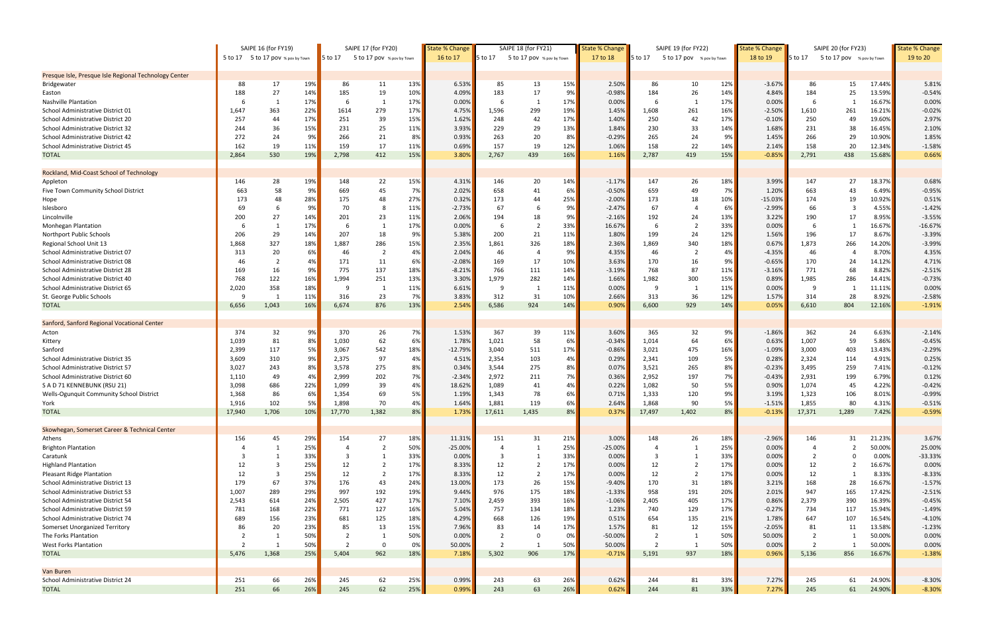|                                                       | SAIPE 16 (for FY19) |                                   |     | SAIPE 17 (for FY20) |                           |          | <b>State % Change</b> | SAIPE 18 (for FY21) |                           | <b>State % Change</b> |           | SAIPE 19 (for FY22) |                           | <b>State % Change</b> | SAIPE 20 (for FY23) |                |                           | <b>State % Change</b> |           |
|-------------------------------------------------------|---------------------|-----------------------------------|-----|---------------------|---------------------------|----------|-----------------------|---------------------|---------------------------|-----------------------|-----------|---------------------|---------------------------|-----------------------|---------------------|----------------|---------------------------|-----------------------|-----------|
|                                                       |                     | 5 to 17 5 to 17 pov % pov by Town |     | 5 to 17             | 5 to 17 pov % pov by Town |          | 16 to 17              | 5 to 17             | 5 to 17 pov % pov by Town |                       | 17 to 18  | <b>5 to 17</b>      | 5 to 17 pov % pov by Town |                       | 18 to 19            | 5 to 17        | 5 to 17 pov % pov by Town |                       | 19 to 20  |
|                                                       |                     |                                   |     |                     |                           |          |                       |                     |                           |                       |           |                     |                           |                       |                     |                |                           |                       |           |
| Presque Isle, Presque Isle Regional Technology Center |                     |                                   |     |                     |                           |          |                       |                     |                           |                       |           |                     |                           |                       |                     |                |                           |                       |           |
| Bridgewater                                           | 88                  | 17                                | 19% | 86                  | 11                        | 13%      | 6.53%                 | 85                  | 13                        | 15%                   | 2.50%     | 86                  | 10                        | 12%                   | $-3.67%$            | 86             | 15                        | 17.44%                | 5.81%     |
| Easton                                                | 188                 | 27                                | 14% | 185                 | 19                        | 10%      | 4.09%                 | 183                 | 17                        | 9%                    | $-0.98%$  | 184                 | 26                        | 14%                   | 4.84%               | 184            | 25                        | 13.59%                | $-0.54%$  |
| <b>Nashville Plantation</b>                           | -6                  | 1                                 | 17% | -6                  | $\mathbf{1}$              | 17%      | 0.00%                 | 6                   | -1                        | 17%                   | 0.00%     | 6                   | 1                         | 17%                   | 0.00%               | -6             |                           | 16.67%                | 0.00%     |
| School Administrative District 01                     | 1,647               | 363                               | 22% | 1614                | 279                       | 17%      | 4.75%                 | 1,596               | 299                       | 19%                   | 1.45%     | 1,608               | 261                       | 16%                   | $-2.50%$            | 1,610          | 261                       | 16.21%                | $-0.02%$  |
| School Administrative District 20                     | 257                 | 44                                | 17% | 251                 | 39                        | 15%      | 1.62%                 | 248                 | 42                        | 17%                   | 1.40%     | 250                 | 42                        | 17%                   | $-0.10%$            | 250            | 49                        | 19.60%                | 2.97%     |
| School Administrative District 32                     | 244                 | 36                                | 15% | 231                 | 25                        | 11%      | 3.93%                 | 229                 | 29                        | 13%                   | 1.84%     | 230                 | 33                        | 14%                   | 1.68%               | 231            | 38                        | 16.45%                | 2.10%     |
| School Administrative District 42                     | 272                 | 24                                | 9%  | 266                 | 21                        | 8%       | 0.93%                 | 263                 | 20                        | 8%                    | $-0.29%$  | 265                 | 24                        | 9%                    | 1.45%               | 266            | 29                        | 10.90%                | 1.85%     |
| School Administrative District 45                     | 162                 | 19                                | 11% | 159                 | 17                        | 11%      | 0.69%                 | 157                 | 19                        | 12%                   | 1.06%     | 158                 | 22                        | 14%                   | 2.14%               | 158            | 20                        | 12.34%                | $-1.58%$  |
| <b>TOTAL</b>                                          | 2,864               | 530                               | 19% | 2,798               | 412                       | 15%      | 3.80%                 | 2,767               | 439                       | 16%                   | 1.16%     | 2,787               | 419                       | 15%                   | $-0.85%$            | 2,791          | 438                       | 15.68%                | 0.66%     |
| Rockland, Mid-Coast School of Technology              |                     |                                   |     |                     |                           |          |                       |                     |                           |                       |           |                     |                           |                       |                     |                |                           |                       |           |
| Appleton                                              | 146                 | 28                                | 19% | 148                 | 22                        | 15%      | 4.31%                 | 146                 | 20                        | 14%                   | $-1.17%$  | 147                 | 26                        | 18%                   | 3.99%               | 147            | 27                        | 18.37%                | 0.68%     |
| Five Town Community School District                   | 663                 | 58                                | 9%  | 669                 | 45                        | 7%       | 2.02%                 | 658                 | 41                        | 6%                    | $-0.50%$  | 659                 | 49                        | 7%                    | 1.20%               | 663            | 43                        | 6.49%                 | $-0.95%$  |
|                                                       | 173                 | 48                                | 28% | 175                 | 48                        | 27%      | 0.32%                 | 173                 | 44                        | 25%                   | $-2.00%$  | 173                 | 18                        | 10%                   | $-15.03%$           | 174            | 19                        | 10.92%                | 0.51%     |
| Hope                                                  |                     |                                   |     |                     |                           |          |                       |                     |                           |                       |           |                     |                           |                       |                     |                |                           |                       |           |
| Islesboro                                             | 69                  | -6                                | 9%  | 70                  | 8                         | 11%      | $-2.73%$              | 67                  | -6                        | 9%                    | $-2.47%$  | 67                  | -4                        | 6%                    | $-2.99%$            | 66             | -3                        | 4.55%                 | $-1.42%$  |
| Lincolnville                                          | 200                 | 27                                | 14% | 201                 | 23                        | 11%      | 2.06%                 | 194                 | 18                        | 9%                    | $-2.16%$  | 192                 | 24                        | 13%                   | 3.22%               | 190            | 17                        | 8.95%                 | $-3.55%$  |
| <b>Monhegan Plantation</b>                            |                     | $\overline{1}$                    | 17% |                     |                           | 17%      | 0.00%                 | -6                  | $\overline{2}$            | 33%                   | 16.67%    |                     | $\overline{\phantom{a}}$  | 33%                   | 0.00%               | -6             |                           | 16.67%                | $-16.67%$ |
| Northport Public Schools                              | 206                 | 29                                | 14% | 207                 | 18                        | 9%       | 5.38%                 | 200                 | 21                        | 11%                   | 1.80%     | 199                 | 24                        | 12%                   | 1.56%               | 196            | 17                        | 8.67%                 | $-3.39%$  |
| Regional School Unit 13                               | 1,868               | 327                               | 18% | 1,887               | 286                       | 15%      | 2.35%                 | 1,861               | 326                       | 18%                   | 2.36%     | 1,869               | 340                       | 18%                   | 0.67%               | 1,873          | 266                       | 14.20%                | $-3.99%$  |
| School Administrative District 07                     | 313                 | 20                                | 6%  | 46                  | $\overline{2}$            | 4%       | 2.04%                 | 46                  |                           | 9%                    | 4.35%     | 46                  | $\overline{2}$            | 4%                    | $-4.35%$            | 46             |                           | 8.70%                 | 4.35%     |
| School Administrative District 08                     | 46                  | $\overline{2}$                    | 4%  | 171                 | 11                        | 6%       | $-2.08%$              | 169                 | 17                        | 10%                   | 3.63%     | 170                 | 16                        | 9%                    | $-0.65%$            | 170            | 24                        | 14.12%                | 4.71%     |
| School Administrative District 28                     | 169                 | 16                                | 9%  | 775                 | 137                       | 18%      | $-8.21%$              | 766                 | 111                       | 14%                   | $-3.19%$  | 768                 | 87                        | 11%                   | $-3.16%$            | 771            | 68                        | 8.82%                 | $-2.51%$  |
| School Administrative District 40                     | 768                 | 122                               | 16% | 1,994               | 251                       | 13%      | 3.30%                 | 1,979               | 282                       | 14%                   | 1.66%     | 1,982               | 300                       | 15%                   | 0.89%               | 1,985          | 286                       | 14.41%                | $-0.73%$  |
| School Administrative District 65                     | 2,020               | 358                               | 18% | -9                  | - 1                       | 11%      | 6.61%                 | 9                   | - 1                       | 11%                   | 0.00%     | 9                   |                           | 11%                   | 0.00%               | - 9            |                           | 11.11%                | 0.00%     |
| St. George Public Schools                             | -9                  | $\overline{1}$                    | 11% | 316                 | 23                        | 7%       | 3.83%                 | 312                 | 31                        | 10%                   | 2.66%     | 313                 | 36                        | 12%                   | 1.57%               | 314            | 28                        | 8.92%                 | $-2.58%$  |
| <b>TOTAL</b>                                          | 6,656               | 1,043                             | 16% | 6,674               | 876                       | 13%      | 2.54%                 | 6,586               | 924                       | 14%                   | 0.90%     | 6,600               | 929                       | 14%                   | 0.05%               | 6,610          | 804                       | 12.16%                | $-1.91%$  |
| Sanford, Sanford Regional Vocational Center           |                     |                                   |     |                     |                           |          |                       |                     |                           |                       |           |                     |                           |                       |                     |                |                           |                       |           |
| Acton                                                 | 374                 | 32                                | 9%  | 370                 | 26                        | 7%       | 1.53%                 | 367                 | 39                        | 11%                   | 3.60%     | 365                 | 32                        | 9%                    | $-1.86%$            | 362            | 24                        | 6.63%                 | $-2.14%$  |
| Kittery                                               | 1,039               | 81                                | 8%  | 1,030               | 62                        | 6%       | 1.78%                 | 1,021               | 58                        | 6%                    | $-0.34%$  | 1,014               | 64                        | 6%                    | 0.63%               | 1,007          | 59                        | 5.86%                 | $-0.45%$  |
| Sanford                                               | 2,399               | 117                               | 5%  | 3,067               | 542                       | 18%      | $-12.79%$             | 3,040               | 511                       | 17%                   | $-0.86%$  | 3,021               | 475                       | 16%                   | $-1.09%$            | 3,000          | 403                       | 13.43%                | $-2.29%$  |
| School Administrative District 35                     | 3,609               | 310                               | 9%  | 2,375               | 97                        | 4%       | 4.51%                 | 2,354               | 103                       | 4%                    | 0.29%     | 2,341               | 109                       | 5%                    | 0.28%               | 2,324          | 114                       | 4.91%                 | 0.25%     |
| School Administrative District 57                     | 3,027               | 243                               | 8%  | 3,578               | 275                       | 8%       | 0.34%                 | 3,544               | 275                       | 8%                    | 0.07%     | 3,521               | 265                       | 8%                    | $-0.23%$            | 3,495          | 259                       | 7.41%                 | $-0.12%$  |
| School Administrative District 60                     | 1,110               | 49                                | 4%  | 2,999               | 202                       | 7%       | $-2.34%$              | 2,972               | 211                       | 7%                    | 0.36%     | 2,952               | 197                       | 7%                    | $-0.43%$            | 2,931          | 199                       | 6.79%                 | 0.12%     |
| S A D 71 KENNEBUNK (RSU 21)                           | 3,098               | 686                               | 22% | 1,099               | 39                        | 4%       | 18.62%                | 1,089               | 41                        | 4%                    | 0.22%     | 1,082               | 50                        | 5%                    | 0.90%               | 1,074          | 45                        | 4.22%                 | $-0.42%$  |
|                                                       |                     | 86                                | 6%  |                     | 69                        |          |                       |                     | 78                        |                       |           |                     |                           |                       |                     |                |                           |                       |           |
| Wells-Ogunquit Community School District              | 1,368               |                                   | 5%  | 1,354<br>1.898      | 70                        | 5%<br>4% | 1.19%<br>1.64%        | 1,343               | 119                       | 6%<br>6%              | 0.71%     | 1,333               | 120<br>90                 | 9%<br>5%              | 3.19%               | 1,323          | 106<br>80                 | 8.01%                 | $-0.99%$  |
| York                                                  | 1,916               | 102                               |     |                     |                           |          |                       | 1,881               |                           |                       | 2.64%     | 1,868               |                           |                       | $-1.51%$            | 1,855          |                           | 4.31%                 | $-0.51%$  |
| <b>TOTAL</b>                                          | 17,940              | 1,706                             | 10% | 17,770              | 1,382                     | 8%       | 1.73%                 | 17,611              | 1,435                     | 8%                    | 0.37%     | 17,497              | 1,402                     | 8%                    | $-0.13%$            | 17,371         | 1,289                     | 7.42%                 | $-0.59%$  |
| Skowhegan, Somerset Career & Technical Center         |                     |                                   |     |                     |                           |          |                       |                     |                           |                       |           |                     |                           |                       |                     |                |                           |                       |           |
| Athens                                                | 156                 | 45                                | 29% | 154                 | 27                        | 18%      | 11.31%                | 151                 | 31                        | 21%                   | 3.00%     | 148                 | 26                        | 18%                   | $-2.96%$            | 146            | 31                        | 21.23%                | 3.67%     |
| <b>Brighton Plantation</b>                            |                     | $\overline{1}$                    | 25% |                     | $\overline{2}$            | 50%      | $-25.00%$             | $\overline{4}$      | $\overline{1}$            | 25%                   | $-25.00%$ | $\Delta$            | 1                         | 25%                   | 0.00%               | $\overline{4}$ | $\overline{2}$            | 50.00%                | 25.00%    |
| Caratunk                                              | -3                  | -1                                | 33% | -3                  | 1                         | 33%      | 0.00%                 | -3                  | -1                        | 33%                   | 0.00%     | 3                   |                           | 33%                   | 0.00%               | $\overline{2}$ | 0                         | 0.00%                 | $-33.33%$ |
| <b>Highland Plantation</b>                            | 12                  | 3                                 | 25% | 12                  | $\overline{2}$            | 17%      | 8.33%                 | 12                  |                           | 17%                   | 0.00%     | 12                  | $\overline{2}$            | 17%                   | 0.00%               | 12             |                           | 16.67%                | 0.00%     |
| <b>Pleasant Ridge Plantation</b>                      | 12                  | $\overline{\mathbf{3}}$           | 25% | 12                  | $\overline{2}$            | 17%      | 8.33%                 | 12                  | $\overline{2}$            | 17%                   | 0.00%     | 12                  | $\overline{2}$            | 17%                   | 0.00%               | 12             |                           | 8.33%                 | $-8.33%$  |
| School Administrative District 13                     | 179                 | 67                                | 37% | 176                 | 43                        | 24%      | 13.00%                | 173                 | 26                        | 15%                   | $-9.40%$  | 170                 | 31                        | 18%                   | 3.21%               | 168            | 28                        | 16.67%                | $-1.57%$  |
| School Administrative District 53                     | 1,007               | 289                               | 29% | 997                 | 192                       | 19%      | 9.44%                 | 976                 | 175                       | 18%                   | $-1.33%$  | 958                 | 191                       | 20%                   | 2.01%               | 947            | 165                       | 17.42%                | $-2.51%$  |
| School Administrative District 54                     | 2,543               | 614                               | 24% | 2,505               | 427                       | 17%      | 7.10%                 | 2,459               | 393                       | 16%                   | $-1.06%$  | 2,405               | 405                       | 17%                   | 0.86%               | 2,379          | 390                       | 16.39%                | $-0.45%$  |
| School Administrative District 59                     | 781                 | 168                               | 22% | 771                 | 127                       | 16%      | 5.04%                 | 757                 | 134                       | 18%                   | 1.23%     | 740                 | 129                       | 17%                   | $-0.27%$            | 734            | 117                       | 15.94%                | $-1.49%$  |
| School Administrative District 74                     | 689                 | 156                               | 23% | 681                 | 125                       | 18%      | 4.29%                 | 668                 | 126                       | 19%                   | 0.51%     | 654                 | 135                       | 21%                   | 1.78%               | 647            | 107                       | 16.54%                | $-4.10%$  |
| Somerset Unorganized Territory                        | 86                  | 20                                | 23% | 85                  | 13                        | 15%      | 7.96%                 | 83                  | 14                        | 17%                   | 1.57%     | 81                  | 12                        | 15%                   | $-2.05%$            | 81             | 11                        | 13.58%                | $-1.23%$  |
| The Forks Plantation                                  | -2                  | -1                                | 50% |                     | -1                        | 50%      | 0.00%                 | $\overline{2}$      | $\Omega$                  | 0%                    | -50.00%   | $\overline{2}$      |                           | 50%                   | 50.00%              | $\overline{2}$ |                           | 50.00%                | 0.00%     |
| <b>West Forks Plantation</b>                          | $\overline{2}$      | $\overline{1}$                    | 50% | $\overline{2}$      | $\mathbf 0$               | 0%       | 50.00%                | $\overline{2}$      | -1                        | 50%                   | 50.00%    | 2                   |                           | 50%                   | 0.00%               | $\overline{2}$ |                           | 50.00%                | 0.00%     |
| <b>TOTAL</b>                                          | 5,476               | 1,368                             | 25% | 5,404               | 962                       | 18%      | 7.18%                 | 5,302               | 906                       | 17%                   | $-0.71%$  | 5,191               | 937                       | 18%                   | 0.96%               | 5,136          | 856                       | 16.67%                | $-1.38%$  |
|                                                       |                     |                                   |     |                     |                           |          |                       |                     |                           |                       |           |                     |                           |                       |                     |                |                           |                       |           |
| Van Buren                                             |                     |                                   |     |                     |                           |          |                       |                     |                           |                       |           |                     |                           |                       |                     |                |                           |                       |           |
| School Administrative District 24                     | 251                 | 66                                | 26% | 245                 | 62                        | 25%      | 0.99%                 | 243                 | 63                        | 26%                   | 0.62%     | 244                 | 81                        | 33%                   | 7.27%               | 245            | 61                        | 24.90%                | $-8.30%$  |
| <b>TOTAL</b>                                          | 251                 | 66                                | 26% | 245                 | 62                        | 25%      | 0.99%                 | 243                 | 63                        | 26%                   | 0.62%     | 244                 | 81                        | 33%                   | 7.27%               | 245            | 61                        | 24.90%                | $-8.30%$  |